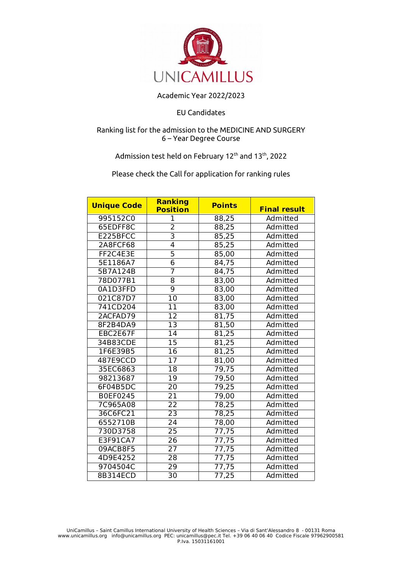

## Academic Year 2022/2023

## EU Candidates

## Ranking list for the admission to the MEDICINE AND SURGERY 6 – Year Degree Course

## Admission test held on February 12<sup>th</sup> and 13<sup>th</sup>, 2022

Please check the Call for application for ranking rules

| <b>Unique Code</b> | <b>Ranking</b><br><b>Position</b> | <b>Points</b> | <b>Final result</b> |
|--------------------|-----------------------------------|---------------|---------------------|
| 995152C0           | 1                                 | 88,25         | Admitted            |
| 65EDFF8C           | $\overline{2}$                    | 88,25         | Admitted            |
| E225BFCC           | $\overline{3}$                    | 85,25         | Admitted            |
| 2A8FCF68           | $\overline{4}$                    | 85,25         | Admitted            |
| FF2C4E3E           | $\overline{5}$                    | 85,00         | Admitted            |
| 5E1186A7           | $\overline{6}$                    | 84,75         | Admitted            |
| 5B7A124B           | $\overline{7}$                    | 84,75         | Admitted            |
| 78D077B1           | 8                                 | 83,00         | Admitted            |
| 0A1D3FFD           | $\overline{9}$                    | 83,00         | Admitted            |
| 021C87D7           | $\overline{10}$                   | 83,00         | Admitted            |
| 741CD204           | 11                                | 83,00         | Admitted            |
| 2ACFAD79           | $\overline{12}$                   | 81,75         | Admitted            |
| 8F2B4DA9           | $\overline{13}$                   | 81,50         | Admitted            |
| EBC2E67F           | 14                                | 81,25         | Admitted            |
| 34B83CDE           | 15                                | 81,25         | Admitted            |
| 1F6E39B5           | $\overline{16}$                   | 81,25         | Admitted            |
| 487E9CCD           | 17                                | 81,00         | Admitted            |
| 35EC6863           | $\overline{18}$                   | 79,75         | Admitted            |
| 98213687           | 19                                | 79,50         | Admitted            |
| 6F04B5DC           | $\overline{20}$                   | 79,25         | Admitted            |
| B0EF0245           | 21                                | 79,00         | Admitted            |
| 7C965A08           | 22                                | 78,25         | Admitted            |
| 36C6FC21           | 23                                | 78,25         | Admitted            |
| 6552710B           | 24                                | 78,00         | Admitted            |
| 730D3758           | $\overline{25}$                   | 77,75         | Admitted            |
| E3F91CA7           | 26                                | 77,75         | Admitted            |
| 09ACB8F5           | $\overline{27}$                   | 77,75         | Admitted            |
| 4D9E4252           | $\overline{28}$                   | 77,75         | Admitted            |
| 9704504C           | 29                                | 77,75         | Admitted            |
| 8B314ECD           | 30                                | 77,25         | Admitted            |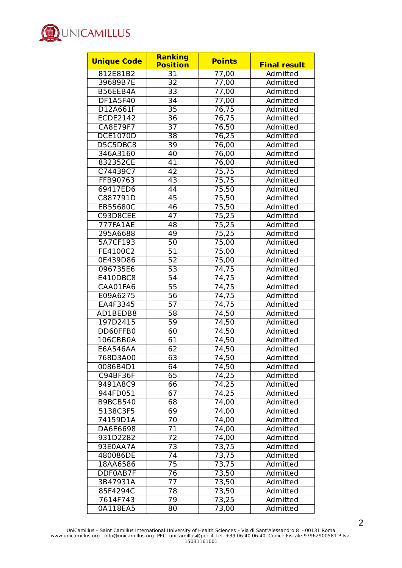

| <b>Unique Code</b> | <b>Ranking</b>  | <b>Points</b>      |                     |
|--------------------|-----------------|--------------------|---------------------|
|                    | <b>Position</b> |                    | <b>Final result</b> |
| 812E81B2           | 31              | 77,00              | Admitted            |
| 39689B7E           | 32              | 77,00              | Admitted            |
| B56EEB4A           | $\overline{33}$ | 77,00              | Admitted            |
| DF1A5F40           | 34              | 77,00              | Admitted            |
| D12A661F           | 35              | 76,75              | Admitted            |
| <b>ECDE2142</b>    | 36              | 76,75              | Admitted            |
| <b>CA8E79F7</b>    | $\overline{37}$ | 76,50              | Admitted            |
| <b>DCE1070D</b>    | $\overline{38}$ | 76,25              | Admitted            |
| D5C5DBC8           | 39              | 76,00              | Admitted            |
| 346A3160           | 40              | 76,00              | Admitted            |
| 832352CE           | 41              | 76,00              | Admitted            |
| C74439C7           | 42              | 75,75              | Admitted            |
| FFB90763           | 43              | 75,75              | Admitted            |
| 69417ED6           | 44              | 75,50              | Admitted            |
| C887791D           | 45              | 75,50              | Admitted            |
| EB55680C           | 46              | 75,50              | Admitted            |
| C93D8CEE           | 47              | $\overline{75,25}$ | Admitted            |
| 777FA1AE           | 48              | 75,25              | Admitted            |
| 295A6688           | 49              | 75,25              | Admitted            |
| 5A7CF193           | 50              | 75,00              | Admitted            |
| FE4100C2           | 51              | 75,00              | Admitted            |
| 0E439D86           | 52              | 75,00              | Admitted            |
| 096735E6           | $\overline{53}$ | 74,75              | Admitted            |
| E410DBC8           | 54              | 74,75              | Admitted            |
| CAA01FA6           | 55              | 74,75              | Admitted            |
| E09A6275           | 56              | 74,75              | Admitted            |
| EA4F3345           | $\overline{57}$ | 74,75              | Admitted            |
| AD1BEDB8           | 58              | 74,50              | Admitted            |
| 197D2415           | 59              | 74,50              | Admitted            |
| DD60FFB0           | 60              | 74,50              | Admitted            |
| 106CBB0A           | 61              | 74,50              | Admitted            |
| E6A546AA           | 62              | 74,50              | Admitted            |
| 768D3A00           | 63              | 74,50              | Admitted            |
| 0086B4D1           | 64              | 74,50              | Admitted            |
| C94BF36F           | 65              | 74,25              | Admitted            |
| 9491A8C9           | 66              | 74,25              | Admitted            |
| 944FD051           | 67              | 74,25              | Admitted            |
| <b>B9BCB540</b>    | 68              | 74,00              | Admitted            |
| 5138C3F5           | 69              | 74,00              | Admitted            |
| 74159D1A           | 70              | 74,00              | Admitted            |
| DA6E6698           | 71              | 74,00              | Admitted            |
| 931D2282           | 72              | 74,00              | Admitted            |
| 93E0AA7A           | 73              | 73,75              | Admitted            |
| 480086DE           | 74              | 73,75              | Admitted            |
| 18AA6586           | 75              | 73,75              | Admitted            |
| DDF0AB7F           | 76              | 73,50              | Admitted            |
| 3B47931A           | 77              | 73,50              | Admitted            |
| 85F4294C           | 78              | 73,50              | Admitted            |
| 7614F743           | 79              | 73,25              | Admitted            |
| 0A118EA5           | 80              | 73,00              | Admitted            |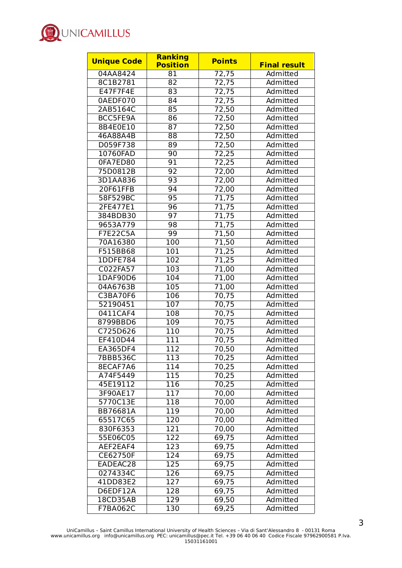

| <b>Unique Code</b> | <b>Ranking</b>   | <b>Points</b> | <b>Final result</b> |
|--------------------|------------------|---------------|---------------------|
|                    | <b>Position</b>  |               |                     |
| 04AA8424           | 81               | 72,75         | Admitted            |
| 8C1B2781           | 82               | 72,75         | Admitted            |
| E47F7F4E           | 83               | 72,75         | Admitted            |
| 0AEDF070           | 84               | 72,75         | Admitted            |
| 2AB5164C           | 85               | 72,50         | Admitted            |
| BCC5FE9A           | 86               | 72,50         | Admitted            |
| 8B4E0E10           | 87               | 72,50         | Admitted            |
| 46A88A4B           | $\overline{88}$  | 72,50         | Admitted            |
| D059F738           | 89               | 72,50         | Admitted            |
| 10760FAD           | 90               | 72,25         | Admitted            |
| 0FA7ED80           | 91               | 72,25         | Admitted            |
| 75D0812B           | 92               | 72,00         | Admitted            |
| 3D1AA836           | 93               | 72,00         | Admitted            |
| 20F61FFB           | 94               | 72,00         | Admitted            |
| 58F529BC           | 95               | 71,75         | Admitted            |
| 2FE477E1           | 96               | 71,75         | Admitted            |
| 384BDB30           | 97               | 71,75         | Admitted            |
| 9653A779           | 98               | 71,75         | Admitted            |
| <b>F7E22C5A</b>    | 99               | 71,50         | Admitted            |
| 70A16380           | 100              | 71,50         | Admitted            |
| F515BB68           | 101              | 71,25         | Admitted            |
| 1DDFE784           | 102              | 71,25         | Admitted            |
| C022FA57           | 103              | 71,00         | Admitted            |
| 1DAF90D6           | 104              | 71,00         | Admitted            |
| 04A6763B           | 105              | 71,00         | Admitted            |
| <b>C3BA70F6</b>    | 106              | 70,75         | Admitted            |
| 52190451           | 107              | 70,75         | Admitted            |
| 0411CAF4           | 108              | 70,75         | Admitted            |
| 8799BBD6           | 109              | 70,75         | Admitted            |
| C725D626           | 110              | 70,75         | Admitted            |
| EF410D44           | 111              | 70,75         | Admitted            |
| EA365DF4           | 112              | 70,50         | Admitted            |
| <b>7BBB536C</b>    | $\overline{113}$ | 70,25         | Admitted            |
| 8ECAF7A6           | 114              | 70,25         | Admitted            |
| A74F5449           | 115              | 70,25         | Admitted            |
| 45E19112           | 116              | 70,25         | Admitted            |
| 3F90AE17           | 117              | 70,00         | Admitted            |
| 5770C13E           | 118              | 70,00         | Admitted            |
| BB76681A           | 119              | 70,00         | Admitted            |
| 65517C65           | 120              | 70,00         | Admitted            |
| 830F6353           | 121              | 70,00         | Admitted            |
| 55E06C05           | 122              | 69,75         | Admitted            |
| AEF2EAF4           | 123              | 69,75         | Admitted            |
| <b>CE62750F</b>    | 124              | 69,75         | Admitted            |
| EADEAC28           | 125              | 69,75         | Admitted            |
| 0274334C           | 126              | 69,75         | Admitted            |
| 41DD83E2           | 127              | 69,75         | Admitted            |
|                    |                  |               |                     |
| D6EDF12A           | 128              | 69,75         | Admitted            |
| 18CD35AB           | $\overline{129}$ | 69,50         | Admitted            |
| F7BA062C           | 130              | 69,25         | Admitted            |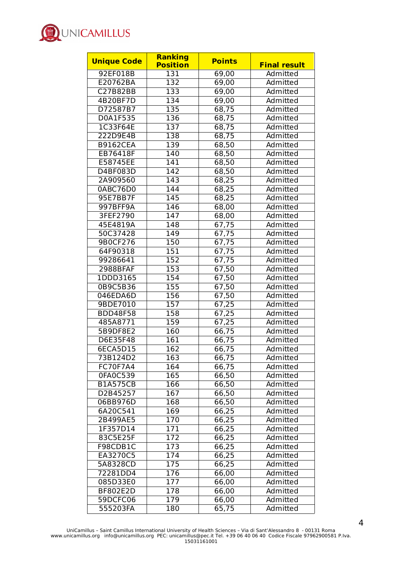

| <b>Unique Code</b> | <b>Ranking</b>   | <b>Points</b> |                     |
|--------------------|------------------|---------------|---------------------|
|                    | <b>Position</b>  |               | <b>Final result</b> |
| 92EF018B           | 131              | 69,00         | Admitted            |
| E20762BA           | 132              | 69,00         | Admitted            |
| <b>C27B82BB</b>    | 133              | 69,00         | Admitted            |
| 4B20BF7D           | 134              | 69,00         | Admitted            |
| D72587B7           | 135              | 68,75         | Admitted            |
| D0A1F535           | 136              | 68,75         | Admitted            |
| 1C33F64E           | 137              | 68,75         | Admitted            |
| 222D9E4B           | 138              | 68,75         | Admitted            |
| <b>B9162CEA</b>    | 139              | 68,50         | Admitted            |
| EB76418F           | 140              | 68,50         | Admitted            |
| E58745EE           | 141              | 68,50         | Admitted            |
| <b>D4BF083D</b>    | 142              | 68,50         | Admitted            |
| 2A909560           | 143              | 68,25         | Admitted            |
| 0ABC76D0           | 144              | 68,25         | Admitted            |
| 95E7BB7F           | 145              | 68,25         | Admitted            |
| 997BFF9A           | 146              | 68,00         | Admitted            |
| 3FEF2790           | 147              | 68,00         | Admitted            |
| 45E4819A           | 148              | 67,75         | Admitted            |
| 50C37428           | 149              | 67,75         | Admitted            |
| 9B0CF276           | 150              | 67,75         | Admitted            |
| 64F90318           | 151              | 67,75         | Admitted            |
| 99286641           | 152              | 67,75         | Admitted            |
| 2988BFAF           | 153              | 67,50         | Admitted            |
| 1DDD3165           | 154              | 67,50         | Admitted            |
| 0B9C5B36           | 155              | 67,50         | Admitted            |
| 046EDA6D           | 156              | 67,50         | Admitted            |
| 9BDE7010           | 157              | 67,25         | Admitted            |
| <b>BDD48F58</b>    | 158              | 67,25         | Admitted            |
| 485A8771           | 159              | 67,25         | Admitted            |
| 5B9DF8E2           | 160              | 66,75         | Admitted            |
| D6E35F48           | 161              | 66,75         | Admitted            |
| 6ECA5D15           | 162              | 66,75         | Admitted            |
| 73B124D2           | $\overline{163}$ | 66,75         | <b>Admitted</b>     |
| FC70F7A4           | 164              | 66,75         | Admitted            |
| 0FA0C539           | 165              | 66,50         | Admitted            |
| <b>B1A575CB</b>    | 166              | 66,50         | Admitted            |
| D2B45257           | $\overline{167}$ | 66,50         | Admitted            |
| 06BB976D           | 168              | 66,50         | Admitted            |
| 6A20C541           | 169              | 66,25         | Admitted            |
| 2B499AE5           | 170              | 66,25         | Admitted            |
| 1F357D14           | 171              | 66,25         | Admitted            |
| 83C5E25F           | 172              | 66,25         | Admitted            |
| F98CDB1C           | 173              | 66,25         | Admitted            |
| EA3270C5           | 174              | 66,25         | Admitted            |
| 5A8328CD           | 175              | 66,25         | Admitted            |
| 72281DD4           | 176              | 66,00         | Admitted            |
| 085D33E0           | 177              | 66,00         | Admitted            |
| <b>BF802E2D</b>    | 178              | 66,00         | Admitted            |
| 59DCFC06           | 179              | 66,00         | Admitted            |
| 555203FA           | 180              | 65,75         | Admitted            |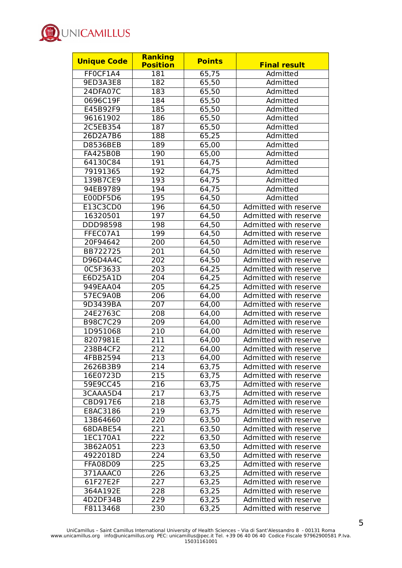

| <b>Unique Code</b> | Ranking<br><b>Position</b> | <b>Points</b> | <b>Final result</b>   |
|--------------------|----------------------------|---------------|-----------------------|
| FF0CF1A4           | 181                        | 65,75         | Admitted              |
| 9ED3A3E8           | 182                        | 65,50         | Admitted              |
| <b>24DFA07C</b>    | 183                        | 65,50         | Admitted              |
| 0696C19F           | 184                        | 65,50         | Admitted              |
| E45B92F9           | 185                        | 65,50         | Admitted              |
| 96161902           | 186                        | 65,50         | Admitted              |
| 2C5EB354           | 187                        | 65,50         | Admitted              |
| 26D2A7B6           | 188                        | 65,25         | Admitted              |
| <b>D8536BEB</b>    | 189                        | 65,00         | Admitted              |
| <b>FA425B0B</b>    | 190                        | 65,00         | Admitted              |
| 64130C84           | 191                        | 64,75         | Admitted              |
| 79191365           | 192                        | 64,75         | Admitted              |
| 139B7CE9           | 193                        | 64,75         | Admitted              |
| 94EB9789           | 194                        | 64,75         | Admitted              |
| E00DF5D6           | 195                        | 64,50         | Admitted              |
| E13C3CD0           | 196                        | 64,50         | Admitted with reserve |
| 16320501           | 197                        | 64,50         | Admitted with reserve |
| DDD98598           | 198                        | 64,50         | Admitted with reserve |
| FFEC07A1           | 199                        | 64,50         | Admitted with reserve |
| 20F94642           | 200                        | 64,50         | Admitted with reserve |
| BB722725           | 201                        | 64,50         | Admitted with reserve |
| D96D4A4C           | 202                        | 64,50         | Admitted with reserve |
| 0C5F3633           | $\overline{203}$           | 64,25         | Admitted with reserve |
| E6D25A1D           | 204                        | 64,25         | Admitted with reserve |
| 949EAA04           | 205                        | 64,25         | Admitted with reserve |
| 57EC9A0B           | 206                        | 64,00         | Admitted with reserve |
| 9D3439BA           | 207                        | 64,00         | Admitted with reserve |
| 24E2763C           | 208                        | 64,00         | Admitted with reserve |
| B98C7C29           | 209                        | 64,00         | Admitted with reserve |
| 1D951068           | 210                        | 64,00         | Admitted with reserve |
| 8207981E           | 211                        | 64,00         | Admitted with reserve |
| 238B4CF2           | 212                        | 64,00         | Admitted with reserve |
| 4FBB2594           | 213                        | 64,00         | Admitted with reserve |
| 2626B3B9           | 214                        | 63,75         | Admitted with reserve |
| 16E0723D           | 215                        | 63,75         | Admitted with reserve |
| 59E9CC45           | 216                        | 63,75         | Admitted with reserve |
| 3CAAA5D4           | 217                        | 63,75         | Admitted with reserve |
| CBD917E6           | 218                        | 63,75         | Admitted with reserve |
| E8AC3186           | 219                        | 63,75         | Admitted with reserve |
| 13B64660           | 220                        | 63,50         | Admitted with reserve |
| 68DABE54           | 221                        | 63,50         | Admitted with reserve |
| 1EC170A1           | 222                        | 63,50         | Admitted with reserve |
| 3B62A051           | 223                        | 63,50         | Admitted with reserve |
| 4922018D           | 224                        | 63,50         | Admitted with reserve |
| <b>FFA08D09</b>    | 225                        | 63,25         | Admitted with reserve |
| 371AAAC0           | 226                        | 63,25         | Admitted with reserve |
| 61F27E2F           | 227                        | 63,25         | Admitted with reserve |
| 364A192E           | 228                        | 63,25         | Admitted with reserve |
| 4D2DF34B           | 229                        | 63,25         | Admitted with reserve |
| F8113468           | 230                        | 63,25         | Admitted with reserve |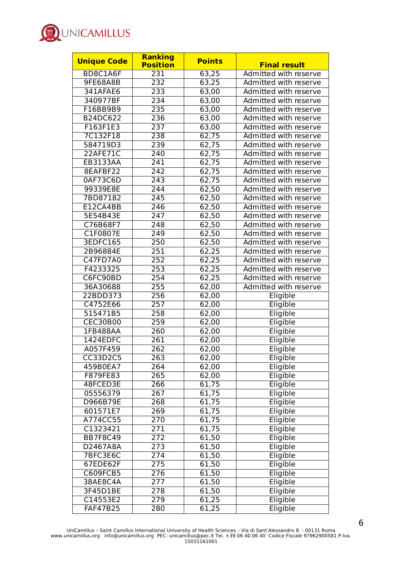

| <b>Unique Code</b> | <b>Ranking</b><br><b>Position</b> | <b>Points</b> | <b>Final result</b>   |
|--------------------|-----------------------------------|---------------|-----------------------|
| BD8C1A6F           | 231                               | 63,25         | Admitted with reserve |
| 9FE68A8B           | 232                               | 63,25         | Admitted with reserve |
| 341AFAE6           | 233                               | 63,00         | Admitted with reserve |
| 340977BF           | 234                               | 63,00         | Admitted with reserve |
| F16BB9B9           | 235                               | 63,00         | Admitted with reserve |
| B24DC622           | 236                               | 63,00         | Admitted with reserve |
| F163F1E3           | 237                               | 63,00         | Admitted with reserve |
| 7C132F18           | 238                               | 62,75         | Admitted with reserve |
| 584719D3           | 239                               | 62,75         | Admitted with reserve |
| 22AFE71C           | 240                               | 62,75         | Admitted with reserve |
| EB3133AA           | 241                               | 62,75         | Admitted with reserve |
| 8EAFBF22           | 242                               | 62,75         | Admitted with reserve |
| 0AF73C6D           | 243                               | 62,75         | Admitted with reserve |
| 99339E8E           | 244                               | 62,50         | Admitted with reserve |
| 7BD87182           | 245                               | 62,50         | Admitted with reserve |
| E12CA4BB           | 246                               | 62,50         | Admitted with reserve |
| 5E54B43E           | 247                               | 62,50         | Admitted with reserve |
| C76B68F7           | 248                               | 62,50         | Admitted with reserve |
| C1F0807E           | 249                               | 62,50         | Admitted with reserve |
| 3EDFC165           | 250                               | 62,50         | Admitted with reserve |
| 2B96884E           | 251                               | 62,25         | Admitted with reserve |
| C47FD7A0           | 252                               | 62,25         | Admitted with reserve |
| F4233325           | 253                               | 62,25         | Admitted with reserve |
| C6FC90BD           | 254                               | 62,25         | Admitted with reserve |
| 36A30688           | 255                               | 62,00         | Admitted with reserve |
| 22BDD373           | 256                               | 62,00         | Eligible              |
| C4752E66           | 257                               | 62,00         | Eligible              |
| 515471B5           | 258                               | 62,00         | Eligible              |
| <b>CEC30B00</b>    | 259                               | 62,00         | Eligible              |
| 1FB488AA           | 260                               | 62,00         | Eligible              |
| 1424EDFC           | 261                               | 62,00         | Eligible              |
| A057F459           | 262                               | 62,00         | Eligible              |
| CC33D2C5           | 263                               | 62,00         | Eligible              |
| 459B0EA7           | 264                               | 62,00         | Eligible              |
| F879FE83           | 265                               | 62,00         | Eligible              |
| 48FCED3E           | 266                               | 61,75         | Eligible              |
| 05556379           | 267                               | 61,75         | Eligible              |
| D966B79E           | 268                               | 61,75         | Eligible              |
| 601571E7           | 269                               | 61,75         | Eligible              |
| A774CC55           | $\overline{270}$                  | 61,75         | Eligible              |
| C1323421           | 271                               | 61,75         | Eligible              |
| <b>BB7F8C49</b>    | 272                               | 61,50         | Eligible              |
| D2467A8A           | 273                               | 61,50         | Eligible              |
| 7BFC3E6C           | 274                               | 61,50         | Eligible              |
| 67EDE62F           | 275                               | 61,50         | Eligible              |
| C609FCB5           | 276                               | 61,50         | Eligible              |
| 38AE8C4A           | 277                               | 61,50         | Eligible              |
| 3F45D1BE           | 278                               | 61,50         | Eligible              |
| C14553E2           | 279                               | 61,25         | Eligible              |
| <b>FAF47B25</b>    | 280                               | 61,25         | Eligible              |
|                    |                                   |               |                       |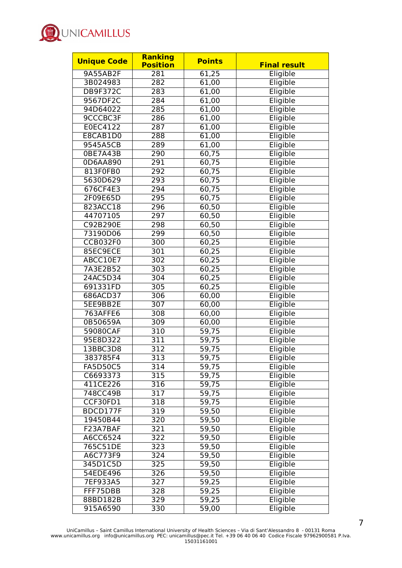

| <b>Unique Code</b>   | <b>Ranking</b><br><b>Position</b> | <b>Points</b> | <b>Final result</b> |
|----------------------|-----------------------------------|---------------|---------------------|
| 9A55AB2F             | 281                               | 61,25         | Eligible            |
| 3B024983             | 282                               | 61,00         | Eligible            |
| DB9F372C             | 283                               | 61,00         | Eligible            |
| 9567DF2C             | 284                               | 61,00         | Eligible            |
| 94D64022             | 285                               | 61,00         | Eligible            |
| 9CCCBC3F             | 286                               | 61,00         | Eligible            |
| E0EC4122             | 287                               | 61,00         | Eligible            |
| E8CAB1D0             | 288                               | 61,00         | Eligible            |
| 9545A5CB             | 289                               | 61,00         | Eligible            |
| 0BE7A43B             | 290                               | 60,75         | Eligible            |
| 0D6AA890             | 291                               | 60,75         | Eligible            |
| 813F0FB0             | 292                               | 60,75         | Eligible            |
| 5630D629             | 293                               | 60,75         | Eligible            |
| 676CF4E3             | 294                               | 60,75         | Eligible            |
| 2F09E65D             | 295                               | 60,75         | Eligible            |
| 823ACC18             | 296                               | 60,50         | Eligible            |
| 44707105             | 297                               | 60,50         | Eligible            |
| C92B290E             | 298                               | 60,50         | Eligible            |
| 73190D06             | 299                               | 60,50         | Eligible            |
| <b>CCB032F0</b>      | 300                               | 60,25         | Eligible            |
| 85EC9ECE             | 301                               | 60,25         | Eligible            |
| ABCC10E7             | 302                               | 60,25         | Eligible            |
| 7A3E2B52             | 303                               | 60,25         | Eligible            |
| 24AC5D34             | 304                               |               |                     |
|                      |                                   | 60,25         | Eligible            |
| 691331FD             | 305                               | 60,25         | Eligible            |
| 686ACD37             | 306                               | 60,00         | Eligible            |
| 5EE9BB2E             | 307                               | 60,00         | Eligible            |
| 763AFFE6<br>0B50659A | 308<br>309                        | 60,00         | Eligible            |
|                      |                                   | 60,00         | Eligible            |
| 59080CAF<br>95E8D322 | 310                               | 59,75         | Eligible            |
| 13BBC3D8             | 311                               | 59,75         | Eligible            |
|                      | 312                               | 59,75         | Eligible            |
| 383785F4             | 313                               | 59,75         | Eligible            |
| <b>FA5D50C5</b>      | 314                               | 59,75         | Eligible            |
| C6693373             | 315                               | 59,75         | Eligible            |
| 411CE226             | 316                               | 59,75         | Eligible            |
| 748CC49B             | 317                               | 59,75         | Eligible            |
| CCF30FD1             | 318                               | 59,75         | Eligible            |
| BDCD177F             | 319                               | 59,50         | Eligible            |
| 19450B44             | 320                               | 59,50         | Eligible            |
| F23A7BAF             | 321                               | 59,50         | Eligible            |
| A6CC6524             | 322                               | 59,50         | Eligible            |
| 765C51DE             | 323                               | 59,50         | Eligible            |
| A6C773F9             | 324                               | 59,50         | Eligible            |
| 345D1C5D             | 325                               | 59,50         | Eligible            |
| 54EDE496             | 326                               | 59,50         | Eligible            |
| 7EF933A5             | 327                               | 59,25         | Eligible            |
| FFF75DBB             | 328                               | 59,25         | Eligible            |
| 88BD182B             | 329                               | 59,25         | Eligible            |
| 915A6590             | 330                               | 59,00         | Eligible            |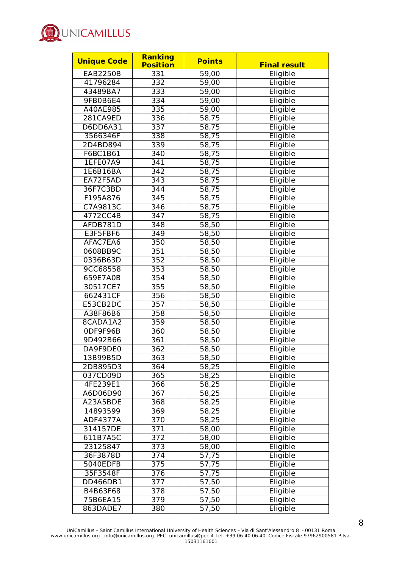

| <b>Unique Code</b> | <b>Ranking</b><br><b>Position</b> | <b>Points</b> | <b>Final result</b> |
|--------------------|-----------------------------------|---------------|---------------------|
| <b>EAB2250B</b>    | 331                               | 59,00         | Eligible            |
| 41796284           | 332                               | 59,00         | Eligible            |
| 43489BA7           | 333                               | 59,00         | Eligible            |
| 9FB0B6E4           | 334                               | 59,00         | Eligible            |
| A40AE985           | 335                               | 59,00         | Eligible            |
| 281CA9ED           | 336                               | 58,75         | Eligible            |
| D6DD6A31           | 337                               | 58,75         | Eligible            |
| 3566346F           | 338                               | 58,75         | Eligible            |
| 2D4BD894           | 339                               | 58,75         |                     |
|                    |                                   |               | Eligible            |
| F6BC1B61           | 340                               | 58,75         | Eligible            |
| 1EFE07A9           | 341                               | 58,75         | Eligible            |
| 1E6B16BA           | 342                               | 58,75         | Eligible            |
| EA72F5AD           | 343                               | 58,75         | Eligible            |
| 36F7C3BD           | 344                               | 58,75         | Eligible            |
| F195A876           | 345                               | 58,75         | Eligible            |
| C7A9813C           | 346                               | 58,75         | Eligible            |
| 4772CC4B           | 347                               | 58,75         | Eligible            |
| AFDB781D           | 348                               | 58,50         | Eligible            |
| E3F5FBF6           | 349                               | 58,50         | Eligible            |
| AFAC7EA6           | 350                               | 58,50         | Eligible            |
| 0608BB9C           | 351                               | 58,50         | Eligible            |
| 0336B63D           | 352                               | 58,50         | Eligible            |
| 9CC68558           | 353                               | 58,50         | Eligible            |
| 659E7A0B           | 354                               | 58,50         | Eligible            |
| 30517CE7           | 355                               | 58,50         | Eligible            |
| 662431CF           | 356                               | 58,50         | Eligible            |
| E53CB2DC           | 357                               | 58,50         | Eligible            |
| A38F86B6           | 358                               | 58,50         | Eligible            |
| 8CADA1A2           | 359                               | 58,50         | Eligible            |
| ODF9F96B           | 360                               | 58,50         | Eligible            |
| 9D492B66           | 361                               | 58,50         | Eligible            |
| DA9F9DE0           | 362                               | 58, 50        | Eligible            |
| 13B99B5D           | 363                               | 58,50         | Eligible            |
| 2DB895D3           | 364                               | 58,25         | Eligible            |
| 037CD09D           | 365                               | 58,25         | Eligible            |
| 4FE239E1           | 366                               | 58,25         | Eligible            |
| A6D06D90           | 367                               | 58,25         | Eligible            |
| A23A5BDE           | 368                               | 58,25         | Eligible            |
| 14893599           | 369                               | 58,25         | Eligible            |
| <b>ADF4377A</b>    | 370                               | 58,25         | Eligible            |
| 314157DE           | 371                               | 58,00         | Eligible            |
| 611B7A5C           | 372                               | 58,00         | Eligible            |
| 23125847           | 373                               | 58,00         | Eligible            |
| 36F3878D           | 374                               | 57,75         | Eligible            |
| 5040EDFB           | 375                               | 57,75         | Eligible            |
| 35F3548F           | 376                               | 57,75         | Eligible            |
| DD466DB1           | 377                               | 57,50         | Eligible            |
| B4B63F68           | 378                               | 57,50         | Eligible            |
| 75B6EA15           | 379                               | 57,50         | Eligible            |
|                    | 380                               | 57,50         |                     |
| 863DADE7           |                                   |               | Eligible            |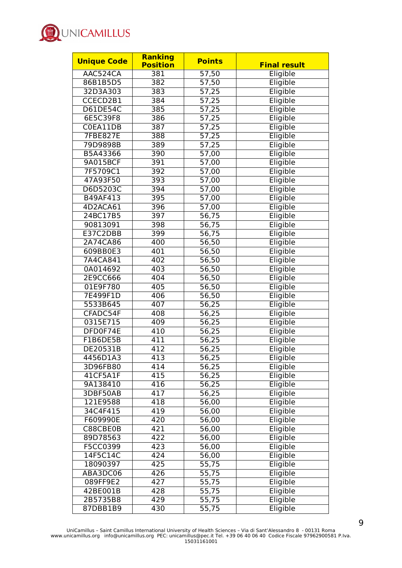

| <b>Unique Code</b> | <b>Ranking</b><br><b>Position</b> | <b>Points</b>      | <b>Final result</b> |
|--------------------|-----------------------------------|--------------------|---------------------|
| AAC524CA           | 381                               | 57,50              | Eligible            |
| 86B1B5D5           | 382                               | 57,50              | Eligible            |
| 32D3A303           | 383                               | 57,25              | Eligible            |
| CCECD2B1           | 384                               | 57,25              | Eligible            |
| D61DE54C           | 385                               | 57,25              | Eligible            |
| 6E5C39F8           | 386                               | 57,25              | Eligible            |
| C0EA11DB           | 387                               | 57,25              | Eligible            |
| <b>7FBE827E</b>    | 388                               | 57,25              | Eligible            |
| 79D9898B           | 389                               | 57,25              | Eligible            |
| B5A43366           | 390                               | 57,00              | Eligible            |
| 9A015BCF           | 391                               | 57,00              | Eligible            |
| 7F5709C1           | 392                               | 57,00              | Eligible            |
| 47A93F50           | 393                               | 57,00              | Eligible            |
| D6D5203C           | 394                               |                    |                     |
| B49AF413           | 395                               | $\overline{57,00}$ | Eligible            |
| 4D2ACA61           |                                   | $\overline{57,00}$ | Eligible            |
|                    | 396                               | 57,00              | Eligible            |
| 24BC17B5           | 397                               | 56,75              | Eligible            |
| 90813091           | 398                               | 56,75              | Eligible            |
| E37C2DBB           | 399                               | 56,75              | Eligible            |
| 2A74CA86           | 400                               | 56,50              | Eligible            |
| 609BB0E3           | 401                               | 56,50              | Eligible            |
| 7A4CA841           | 402                               | 56,50              | Eligible            |
| 0A014692           | 403                               | $\overline{56,50}$ | Eligible            |
| 2E9CC666           | 404                               | 56,50              | Eligible            |
| 01E9F780           | 405                               | 56,50              | Eligible            |
| 7E499F1D           | 406                               | 56,50              | Eligible            |
| 5533B645           | 407                               | 56,25              | Eligible            |
| CFADC54F           | 408                               | 56,25              | Eligible            |
| 0315E715           | 409                               | 56,25              | Eligible            |
| DFD0F74E           | 410                               | 56,25              | Eligible            |
| F1B6DE5B           | 411                               | 56,25              | Eligible            |
| DE20531B           | 412                               | 56,25              | Eligible            |
| 4456D1A3           | 413                               | 56,25              | Eligible            |
| 3D96FB80           | 414                               | 56,25              | Eligible            |
| 41CF5A1F           | 415                               | 56,25              | Eligible            |
| 9A138410           | 416                               | 56,25              | Eligible            |
| 3DBF50AB           | 417                               | 56,25              | Eligible            |
| 121E9588           | 418                               | 56,00              | Eligible            |
| 34C4F415           | 419                               | 56,00              | Eligible            |
| F609990E           | 420                               | 56,00              | Eligible            |
| C88CBE0B           | 421                               | 56,00              | Eligible            |
| 89D78563           | 422                               | 56,00              | Eligible            |
| F5CC0399           | 423                               | 56,00              | Eligible            |
| 14F5C14C           | 424                               | 56,00              | Eligible            |
| 18090397           | 425                               | 55,75              | Eligible            |
| ABA3DC06           | 426                               | $\overline{55,75}$ | Eligible            |
| 089FF9E2           | 427                               | 55,75              | Eligible            |
| 42BE001B           | 428                               | 55,75              | Eligible            |
| 2B5735B8           | 429                               | 55,75              | Eligible            |
| 87DBB1B9           | 430                               | 55,75              | Eligible            |
|                    |                                   |                    |                     |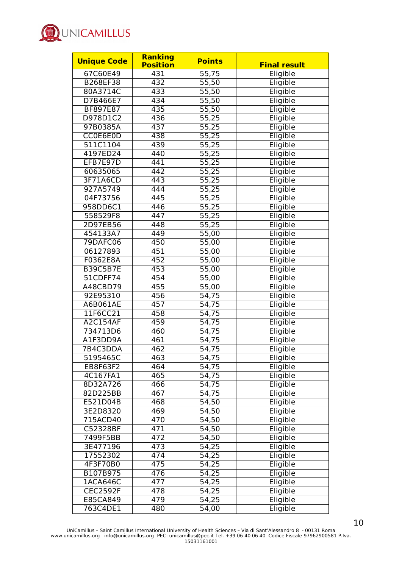

| <b>Unique Code</b> | Ranking         | <b>Points</b>      |                     |
|--------------------|-----------------|--------------------|---------------------|
|                    | <b>Position</b> |                    | <b>Final result</b> |
| 67C60E49           | 431             | 55,75              | Eligible            |
| B268EF38           | 432             | 55,50              | Eligible            |
| 80A3714C           | 433             | 55,50              | Eligible            |
| D7B466E7           | 434             | 55,50              | Eligible            |
| BF897E87           | 435             | 55,50              | Eligible            |
| D978D1C2           | 436             | 55,25              | Eligible            |
| 97B0385A           | 437             | $\overline{55,25}$ | Eligible            |
| CC0E6E0D           | 438             | 55,25              | Eligible            |
| 511C1104           | 439             | 55,25              | Eligible            |
| 4197ED24           | 440             | 55,25              | Eligible            |
| EFB7E97D           | 441             | 55,25              | Eligible            |
| 60635065           | 442             | $\overline{55,25}$ | Eligible            |
| 3F71A6CD           | 443             | 55,25              | Eligible            |
| 927A5749           | 444             | 55,25              | Eligible            |
| 04F73756           | 445             | 55,25              | Eligible            |
| 958DD6C1           | 446             | 55,25              | Eligible            |
| 558529F8           | 447             | 55,25              | Eligible            |
| 2D97EB56           | 448             | 55,25              | Eligible            |
| 454133A7           | 449             | 55,00              | Eligible            |
| 79DAFC06           | 450             | 55,00              | Eligible            |
| 06127893           | 451             | 55,00              | Eligible            |
| F0362E8A           | 452             | 55,00              | Eligible            |
| <b>B39C5B7E</b>    | 453             | 55,00              | Eligible            |
| 51CDFF74           | 454             | 55,00              | Eligible            |
| A48CBD79           | 455             | 55,00              | Eligible            |
| 92E95310           | 456             | 54,75              | Eligible            |
| A6B061AE           | 457             | 54,75              | Eligible            |
| 11F6CC21           | 458             | 54,75              | Eligible            |
| A2C154AF           | 459             | 54,75              | Eligible            |
| 734713D6           | 460             | 54,75              | Eligible            |
| A1F3DD9A           | 461             | 54,75              | Eligible            |
| 7B4C3DDA           | 462             | 54,75              | Eligible            |
| 5195465C           | 463             | 54,75              | Eligible            |
| EB8F63F2           | 464             | 54,75              | Eligible            |
| 4C167FA1           | 465             | 54,75              | Eligible            |
| 8D32A726           | 466             |                    | Eligible            |
| 82D225BB           | 467             | 54,75<br>54,75     | Eligible            |
|                    |                 |                    |                     |
| E521D04B           | 468             | 54,50              | Eligible            |
| 3E2D8320           | 469             | 54,50              | Eligible            |
| 715ACD40           | 470             | 54,50              | Eligible            |
| C52328BF           | 471             | 54,50              | Eligible            |
| 7499F5BB           | 472             | 54,50              | Eligible            |
| 3E477196           | 473             | 54,25              | Eligible            |
| 17552302           | 474             | 54,25              | Eligible            |
| 4F3F70B0           | 475             | 54,25              | Eligible            |
| B107B975           | 476             | 54,25              | Eligible            |
| 1ACA646C           | 477             | 54,25              | Eligible            |
| <b>CEC2592F</b>    | 478             | 54,25              | Eligible            |
| E85CA849           | 479             | 54,25              | Eligible            |
| 763C4DE1           | 480             | 54,00              | Eligible            |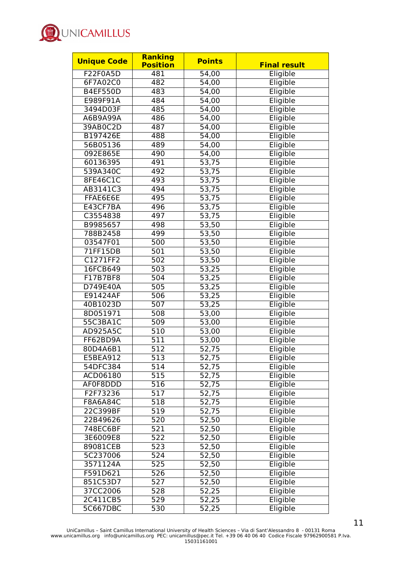

| <b>Unique Code</b> | <b>Ranking</b>  | <b>Points</b>      | <b>Final result</b> |
|--------------------|-----------------|--------------------|---------------------|
|                    | <b>Position</b> |                    |                     |
| F22F0A5D           | 481             | 54,00              | Eligible            |
| 6F7A02C0           | 482             | 54,00              | Eligible            |
| <b>B4EF550D</b>    | 483             | 54,00              | Eligible            |
| E989F91A           | 484             | 54,00              | Eligible            |
| 3494D03F           | 485             | 54,00              | Eligible            |
| A6B9A99A           | 486             | 54,00              | Eligible            |
| 39AB0C2D           | 487             | 54,00              | Eligible            |
| B197426E           | 488             | 54,00              | Eligible            |
| 56B05136           | 489             | 54,00              | Eligible            |
| 092E865E           | 490             | 54,00              | Eligible            |
| 60136395           | 491             | 53,75              | Eligible            |
| 539A340C           | 492             | 53,75              | Eligible            |
| 8FE46C1C           | 493             | 53,75              | Eligible            |
| AB3141C3           | 494             | 53,75              | Eligible            |
| FFAE6E6E           | 495             | 53,75              | Eligible            |
| E43CF7BA           | 496             | 53,75              | Eligible            |
| C3554838           | 497             | 53,75              | Eligible            |
| B9985657           | 498             | 53,50              | Eligible            |
| 788B2458           | 499             | 53,50              | Eligible            |
| 03547F01           | 500             | 53,50              | Eligible            |
| 71FF15DB           | 501             | 53,50              | Eligible            |
| C1271FF2           | 502             | 53,50              | Eligible            |
| 16FCB649           | 503             | 53,25              | Eligible            |
| F17B7BF8           | 504             | 53,25              | Eligible            |
| D749E40A           | 505             | 53,25              | Eligible            |
| E91424AF           | 506             | 53,25              | Eligible            |
| 40B1023D           | 507             | 53,25              | Eligible            |
| 8D051971           | 508             | 53,00              | Eligible            |
| 55C3BA1C           | 509             | 53,00              | Eligible            |
| AD925A5C           | 510             | 53,00              | Eligible            |
| FF62BD9A           | 511             | 53,00              | Eligible            |
| 80D4A6B1           | 512             | 52,75              | Eligible            |
| E5BEA912           | 513             | 52,75              | Eligible            |
| 54DFC384           | 514             | 52,75              | Eligible            |
| ACD06180           | 515             | 52,75              | Eligible            |
| AF0F8DDD           | 516             | 52,75              | Eligible            |
| F2F73236           | 517             | 52,75              | Eligible            |
| F8A6A84C           | 518             | 52,75              | Eligible            |
| 22C399BF           | 519             | 52,75              | Eligible            |
| 22B49626           | 520             | 52,50              | Eligible            |
| 748EC6BF           | 521             | 52,50              | Eligible            |
| 3E6009E8           | 522             | 52,50              | Eligible            |
| 89081CEB           | 523             | 52,50              | Eligible            |
| 5C237006           | 524             | 52,50              | Eligible            |
| 3571124A           | 525             | 52,50              | Eligible            |
| F591D621           | 526             | 52,50              | Eligible            |
| 851C53D7           | 527             | 52,50              | Eligible            |
| 37CC2006           | 528             | $\overline{52,}25$ | Eligible            |
|                    |                 |                    |                     |
| 2C411CB5           | 529             | 52,25              | Eligible            |
| 5C667DBC           | 530             | 52,25              | Eligible            |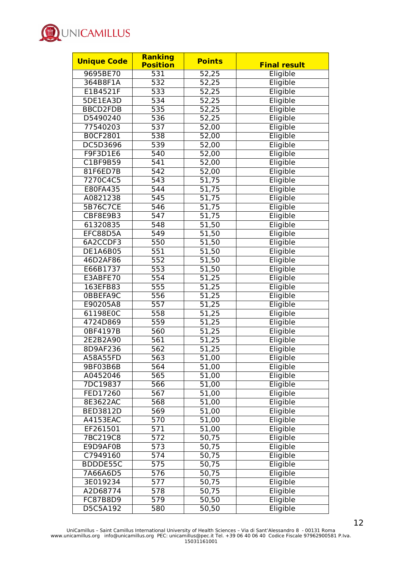

| <b>Unique Code</b>   | <b>Ranking</b><br><b>Position</b> | <b>Points</b>      | <b>Final result</b> |
|----------------------|-----------------------------------|--------------------|---------------------|
| 9695BE70             | 531                               | 52,25              | Eligible            |
| 364B8F1A             | 532                               | 52,25              | Eligible            |
| E1B4521F             | 533                               | 52,25              | Eligible            |
| 5DE1EA3D             | 534                               | 52,25              | Eligible            |
| <b>BBCD2FDB</b>      | 535                               | 52,25              | Eligible            |
| D5490240             | 536                               | 52,25              | Eligible            |
| 77540203             | 537                               | 52,00              | Eligible            |
| <b>BOCF2801</b>      | 538                               | 52,00              | Eligible            |
| DC5D3696             | 539                               | $\overline{52,00}$ | Eligible            |
| F9F3D1E6             | 540                               | 52,00              | Eligible            |
| C1BF9B59             | 541                               | 52,00              | Eligible            |
| 81F6ED7B             | 542                               | $\overline{52,00}$ | Eligible            |
|                      | 543                               |                    |                     |
| 7270C4C5<br>E80FA435 | $\overline{544}$                  | 51,75              | Eligible            |
|                      |                                   | 51,75              | Eligible            |
| A0821238             | 545                               | 51,75              | Eligible            |
| 5B76C7CE             | 546                               | 51,75              | Eligible            |
| CBF8E9B3             | 547                               | 51,75              | Eligible            |
| 61320835             | 548                               | 51,50              | Eligible            |
| EFC88D5A             | 549                               | 51,50              | Eligible            |
| 6A2CCDF3             | 550                               | 51,50              | Eligible            |
| DE1A6B05             | 551                               | 51,50              | Eligible            |
| 46D2AF86             | 552                               | 51,50              | Eligible            |
| E66B1737             | 553                               | 51,50              | Eligible            |
| E3ABFE70             | 554                               | 51,25              | Eligible            |
| 163EFB83             | 555                               | 51,25              | Eligible            |
| 0BBEFA9C             | 556                               | 51,25              | Eligible            |
| E90205A8             | $\overline{557}$                  | 51,25              | Eligible            |
| 61198E0C             | 558                               | 51,25              | Eligible            |
| 4724D869             | 559                               | 51,25              | Eligible            |
| 0BF4197B             | 560                               | 51,25              | Eligible            |
| 2E2B2A90             | 561                               | 51,25              | Eligible            |
| 8D9AF236             | 562                               | 51,25              | Eligible            |
| A58A55FD             | 563                               | 51,00              | Eligible            |
| 9BF03B6B             | 564                               | 51,00              | Eligible            |
| A0452046             | 565                               | 51,00              | Eligible            |
| 7DC19837             | 566                               | 51,00              | Eligible            |
| FED17260             | 567                               | 51,00              | Eligible            |
| 8E3622AC             | 568                               | 51,00              | Eligible            |
| <b>BED3812D</b>      | 569                               | 51,00              | Eligible            |
| A4153EAC             | 570                               | $\overline{51,00}$ | Eligible            |
| EF261501             | 571                               | 51,00              | Eligible            |
| 7BC219C8             | 572                               | 50,75              | Eligible            |
| E9D9AF0B             | 573                               | 50,75              | Eligible            |
| C7949160             | 574                               | 50,75              | Eligible            |
| BDDDE55C             | 575                               | 50,75              | Eligible            |
| 7A66A6D5             | 576                               | 50,75              | Eligible            |
| 3E019234             | 577                               | 50,75              | Eligible            |
| A2D68774             | 578                               | 50,75              | Eligible            |
| <b>FC87B8D9</b>      | 579                               | 50,50              | Eligible            |
| D5C5A192             | 580                               | 50,50              | Eligible            |
|                      |                                   |                    |                     |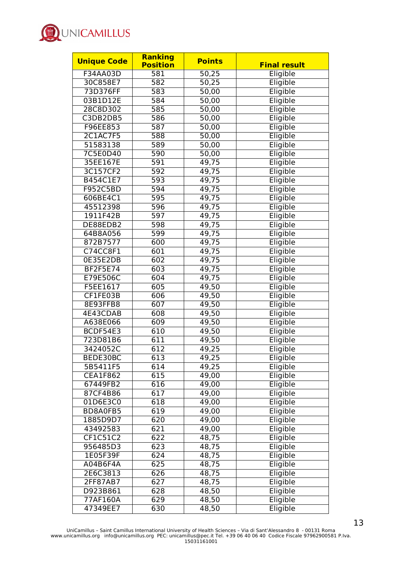

| <b>Unique Code</b> | Ranking         | <b>Points</b> | <b>Final result</b> |
|--------------------|-----------------|---------------|---------------------|
|                    | <b>Position</b> |               |                     |
| F34AA03D           | 581             | 50,25         | Eligible            |
| 30C858E7           | 582             | 50,25         | Eligible            |
| 73D376FF           | 583             | 50,00         | Eligible            |
| 03B1D12E           | 584             | 50,00         | Eligible            |
| 28C8D302           | 585             | 50,00         | Eligible            |
| C3DB2DB5           | 586             | 50,00         | Eligible            |
| F96EE853           | 587             | 50,00         | Eligible            |
| <b>2C1AC7F5</b>    | 588             | 50,00         | Eligible            |
| 51583138           | 589             | 50,00         | Eligible            |
| 7C5E0D40           | 590             | 50,00         | Eligible            |
| 35EE167E           | 591             | 49,75         | Eligible            |
| 3C157CF2           | 592             | 49,75         | Eligible            |
| B454C1E7           | 593             | 49,75         | Eligible            |
| F952C5BD           | 594             | 49,75         | Eligible            |
| 606BE4C1           | 595             | 49,75         | Eligible            |
| 45512398           | 596             | 49,75         | Eligible            |
| 1911F42B           | 597             | 49,75         | Eligible            |
| DE88EDB2           | 598             | 49,75         | Eligible            |
| 64B8A056           | 599             | 49,75         | Eligible            |
| 872B7577           | 600             | 49,75         | Eligible            |
| C74CC8F1           | 601             | 49,75         | Eligible            |
| 0E35E2DB           | 602             | 49,75         | Eligible            |
| <b>BF2F5E74</b>    | 603             | 49,75         | Eligible            |
| E79E506C           | 604             | 49,75         | Eligible            |
| F5EE1617           | 605             | 49,50         | Eligible            |
| CF1FE03B           | 606             | 49,50         | Eligible            |
| 8E93FFB8           | 607             | 49,50         | Eligible            |
| 4E43CDAB           | 608             | 49,50         | Eligible            |
| A638E066           | 609             | 49,50         | Eligible            |
| BCDF54E3           | 610             | 49,50         | Eligible            |
| 723D81B6           | 611             | 49,50         | Eligible            |
| 3424052C           | 612             | 49,25         | Eligible            |
| BEDE30BC           | 613             | 49,25         | Eligible            |
| 5B5411F5           | 614             | 49,25         | Eligible            |
| <b>CEA1F862</b>    | 615             | 49,00         | Eligible            |
| 67449FB2           | 616             | 49,00         | Eligible            |
| 87CF4B86           | 617             | 49,00         | Eligible            |
| 01D6E3C0           | 618             | 49,00         | Eligible            |
| BD8A0FB5           | 619             | 49,00         | Eligible            |
| 1885D9D7           | 620             | 49,00         | Eligible            |
| 43492583           | 621             | 49,00         | Eligible            |
| CF1C51C2           | 622             | 48,75         | Eligible            |
| 956485D3           | 623             | 48,75         | Eligible            |
| 1E05F39F           | 624             | 48,75         | Eligible            |
| A04B6F4A           | 625             | 48,75         | Eligible            |
| 2E6C3813           | 626             | 48,75         | Eligible            |
| 2FF87AB7           | 627             | 48,75         | Eligible            |
| D923B861           | 628             | 48,50         | Eligible            |
| 77AF160A           | 629             | 48,50         | Eligible            |
| 47349EE7           | 630             | 48,50         | Eligible            |
|                    |                 |               |                     |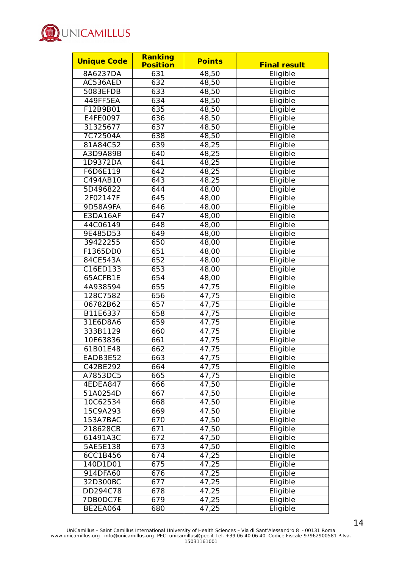

| <b>Unique Code</b> | Ranking           | <b>Points</b>  |                     |
|--------------------|-------------------|----------------|---------------------|
|                    | <b>Position</b>   |                | <b>Final result</b> |
| 8A6237DA           | 631               | 48,50          | Eligible            |
| AC536AED           | 632               | 48,50          | Eligible            |
| 5083EFDB           | 633               | 48,50          | Eligible            |
| 449FF5EA           | 634               | 48,50          | Eligible            |
| F12B9B01           | 635               | 48,50          | Eligible            |
| E4FE0097           | 636               | 48,50          | Eligible            |
| 31325677           | 637               | 48,50          | Eligible            |
| 7C72504A           | 638               | 48,50          | Eligible            |
| 81A84C52           | 639               | 48,25          | Eligible            |
| A3D9A89B           | 640               | 48,25          | Eligible            |
| 1D9372DA           | 641               | 48,25          | Eligible            |
| F6D6E119           | 642               | 48,25          | Eligible            |
| C494AB10           | 643               | 48,25          | Eligible            |
| 5D496822           | 644               | 48,00          | Eligible            |
| 2F02147F           | $\overline{6}$ 45 | 48,00          | Eligible            |
| 9D58A9FA           | 646               | 48,00          | Eligible            |
| E3DA16AF           | 647               | 48,00          | Eligible            |
| 44C06149           | 648               | 48,00          | Eligible            |
| 9E485D53           | 649               | 48,00          | Eligible            |
| 39422255           | 650               | 48,00          | Eligible            |
| F1365DD0           | 651               | 48,00          | Eligible            |
| 84CE543A           | 652               | 48,00          | Eligible            |
| C16ED133           | 653               | 48,00          | Eligible            |
| 65ACFB1E           | 654               | 48,00          | Eligible            |
| 4A938594           | 655               | 47,75          | Eligible            |
| 128C7582           | 656               | 47,75          | Eligible            |
| 06782B62           | 657               | 47,75          | Eligible            |
| B11E6337           | 658               | 47,75          | Eligible            |
| 31E6D8A6           | 659               | 47,75          | Eligible            |
| 333B1129           | 660               | 47,75          | Eligible            |
| 10E63836           | 661               | 47,75          | Eligible            |
| 61B01E48           | 662               | 47,75          | Eligible            |
| EADB3E52           | 663               | 47,75          | Eligible            |
| C42BE292           | 664               | 47,75          | Eligible            |
| A7853DC5           | 665               | 47,75          | Eligible            |
| <b>4EDEA847</b>    | 666               | 47,50          | Eligible            |
| 51A0254D           | 667               | 47,50          | Eligible            |
| 10C62534           | 668               | 47,50          | Eligible            |
| 15C9A293           | 669               | 47,50          | Eligible            |
| 153A7BAC           | 670               | 47,50          | Eligible            |
| 218628CB           | 671               | 47,50          | Eligible            |
| 61491A3C           | 672               | 47,50          | Eligible            |
| 5AE5E138           | 673               | 47,50          | Eligible            |
| 6CC1B456           | 674               | 47,25          | Eligible            |
| 140D1D01           | 675               | 47,25          | Eligible            |
| 914DFA60           | 676               |                | Eligible            |
| 32D300BC           | 677               | 47,25<br>47,25 | Eligible            |
| DD294C78           | 678               | 47,25          | Eligible            |
|                    | 679               |                |                     |
| 7DB0DC7E           |                   | 47,25          | Eligible            |
| <b>BE2EA064</b>    | 680               | 47,25          | Eligible            |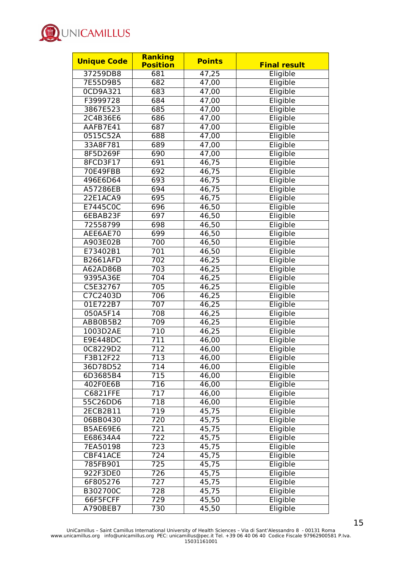

| <b>Points</b><br><b>Final result</b> |
|--------------------------------------|
| 47,25<br>Eligible                    |
| Eligible<br>47,00                    |
| Eligible<br>47,00                    |
| Eligible<br>47,00                    |
| Eligible<br>47,00                    |
| Eligible<br>47,00                    |
| Eligible<br>47,00                    |
| Eligible<br>47,00                    |
| Eligible<br>47,00                    |
| 47,00<br>Eligible                    |
| Eligible<br>46,75                    |
| Eligible<br>46,75                    |
|                                      |
| Eligible<br>46,75                    |
| 46,75<br>Eligible                    |
| Eligible<br>46,75                    |
| Eligible<br>46,50                    |
| Eligible<br>46,50                    |
| Eligible<br>46,50                    |
| 46,50<br>Eligible                    |
| 46,50<br>Eligible                    |
| Eligible<br>46,50                    |
| Eligible<br>46,25                    |
| 46,25<br>Eligible                    |
| 46,25<br>Eligible                    |
| Eligible<br>46,25                    |
| Eligible<br>46,25                    |
| 46,25<br>Eligible                    |
| Eligible<br>46,25                    |
| 46,25<br>Eligible                    |
| 46,25<br>Eligible                    |
| Eligible<br>46,00                    |
| Eligible<br>46,00                    |
| 46,00<br>Eligible                    |
| Eligible<br>46,00                    |
| Eligible<br>$\overline{4}6,00$       |
| Eligible<br>46,00                    |
| Eligible<br>46,00                    |
| Eligible<br>46,00                    |
| 45,75<br>Eligible                    |
| 45,75<br>Eligible                    |
| Eligible<br>45,75                    |
| Eligible<br>45,75                    |
| Eligible<br>45,75                    |
| 45,75<br>Eligible                    |
| 45,75<br>Eligible                    |
| 45,75<br>Eligible                    |
| Eligible<br>45,75                    |
| Eligible<br>45,75                    |
| Eligible<br>45,50                    |
| 45,50<br>Eligible                    |
|                                      |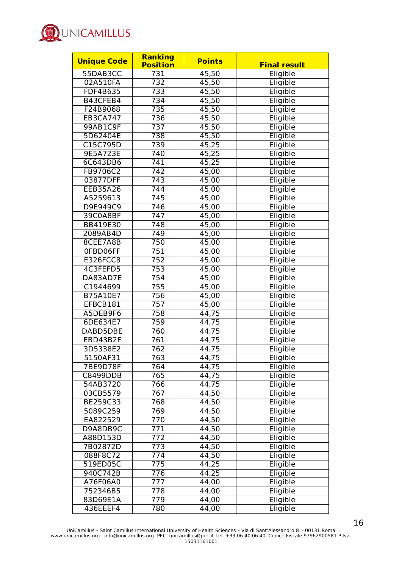

| <b>Unique Code</b> | <b>Ranking</b>  | <b>Points</b>      |                     |
|--------------------|-----------------|--------------------|---------------------|
|                    | <b>Position</b> |                    | <b>Final result</b> |
| 55DAB3CC           | 731             | 45,50              | Eligible            |
| 02A510FA           | 732             | 45,50              | Eligible            |
| FDF4B635           | 733             | 45,50              | Eligible            |
| B43CFEB4           | 734             | 45,50              | Eligible            |
| F24B9068           | 735             | 45,50              | Eligible            |
| <b>EB3CA747</b>    | 736             | 45,50              | Eligible            |
| 99AB1C9F           | 737             | 45,50              | Eligible            |
| 5D62404E           | 738             | 45,50              | Eligible            |
| C15C795D           | 739             | 45,25              | Eligible            |
| 9E5A723E           | 740             | 45,25              | Eligible            |
| 6C643DB6           | 741             | 45,25              | Eligible            |
| FB9706C2           | 742             | 45,00              | Eligible            |
| 03877DFF           | 743             | 45,00              | Eligible            |
| <b>EEB35A26</b>    | 744             | 45,00              | Eligible            |
| A5259613           | 745             | 45,00              | Eligible            |
| D9E949C9           | 746             | 45,00              | Eligible            |
| 39C0A8BF           | 747             | 45,00              | Eligible            |
| BB419E30           | 748             | 45,00              | Eligible            |
| 2089AB4D           | 749             | 45,00              | Eligible            |
| 8CEE7A8B           | 750             | 45,00              | Eligible            |
| OFBD06FF           | 751             | 45,00              | Eligible            |
| E326FCC8           | 752             | 45,00              | Eligible            |
| 4C3FEFD5           | 753             | 45,00              | Eligible            |
| DA83AD7E           | 754             | 45,00              | Eligible            |
| C1944699           | 755             | 45,00              | Eligible            |
| B75A10E7           | 756             | 45,00              | Eligible            |
| EFBCB181           | 757             | 45,00              | Eligible            |
| A5DEB9F6           | 758             | 44,75              | Eligible            |
| 6DE634E7           | 759             | 44,75              | Eligible            |
| DABD5DBE           | 760             | 44,75              | Eligible            |
| EBD43B2F           | 761             | 44,75              | Eligible            |
| 3D5338E2           | 762             | 44,75              | Eligible            |
| 5150AF31           | 763             | 44,75              | Eligible            |
| 7BE9D78F           | 764             | 44,75              | Eligible            |
| <b>C8499DDB</b>    | 765             | 44,75              | Eligible            |
| 54AB3720           | 766             | 44,75              | Eligible            |
| 03CB5579           | 767             | 44,50              | Eligible            |
| BE259C33           | 768             | 44,50              | Eligible            |
| 5089C259           | 769             | 44,50              | Eligible            |
| EA822529           | 770             | 44,50              | Eligible            |
| D9A8DB9C           | 771             | 44,50              | Eligible            |
| A88D153D           | 772             | 44,50              | Eligible            |
| 7B02872D           | 773             | 44,50              | Eligible            |
| 088F8C72           | 774             |                    |                     |
| 519ED05C           | 775             | 44,50              | Eligible            |
|                    |                 | 44,25              | Eligible            |
| 940C742B           | 776             | 44,25              | Eligible            |
| A76F06A0           | 777             | 44,00              | Eligible            |
| 752346B5           | 778             | $\overline{4}4,00$ | Eligible            |
| 83D69E1A           | 779             | 44,00              | Eligible            |
| 436EEEF4           | 780             | 44,00              | Eligible            |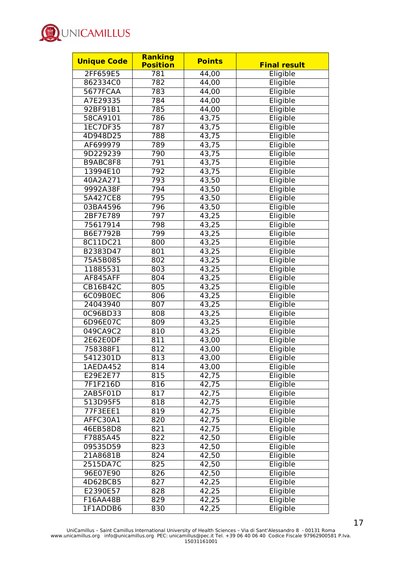

| <b>Unique Code</b> | <b>Ranking</b><br><b>Position</b> | <b>Points</b> | <b>Final result</b> |
|--------------------|-----------------------------------|---------------|---------------------|
| 2FF659E5           | 781                               | 44,00         | Eligible            |
| 862334C0           | 782                               | 44,00         | Eligible            |
| 5677FCAA           | 783                               | 44,00         | Eligible            |
| A7E29335           | 784                               | 44,00         | Eligible            |
| 92BF91B1           | 785                               | 44,00         | Eligible            |
| 58CA9101           | 786                               | 43,75         | Eligible            |
| 1EC7DF35           | 787                               | 43,75         | Eligible            |
| 4D948D25           | 788                               | 43,75         | Eligible            |
| AF699979           | 789                               | 43,75         | Eligible            |
| 9D229239           | 790                               | 43,75         | Eligible            |
| B9ABC8F8           | 791                               | 43,75         | Eligible            |
|                    | 792                               |               | Eligible            |
| 13994E10           |                                   | 43,75         |                     |
| 40A2A271           | 793                               | 43,50         | Eligible            |
| 9992A38F           | 794                               | 43,50         | Eligible            |
| 5A427CE8           | 795                               | 43,50         | Eligible            |
| 03BA4596           | 796                               | 43,50         | Eligible            |
| 2BF7E789           | 797                               | 43,25         | Eligible            |
| 75617914           | 798                               | 43,25         | Eligible            |
| B6E7792B           | 799                               | 43,25         | Eligible            |
| 8C11DC21           | 800                               | 43,25         | Eligible            |
| B2383D47           | 801                               | 43,25         | Eligible            |
| 75A5B085           | 802                               | 43,25         | Eligible            |
| 11885531           | 803                               | 43,25         | Eligible            |
| AF845AFF           | 804                               | 43,25         | Eligible            |
| CB16B42C           | 805                               | 43,25         | Eligible            |
| 6C09B0EC           | 806                               | 43,25         | Eligible            |
| 24043940           | 807                               | 43,25         | Eligible            |
| 0C96BD33           | 808                               | 43,25         | Eligible            |
| 6D96E07C           | 809                               | 43,25         | Eligible            |
| 049CA9C2           | 810                               | 43,25         | Eligible            |
| 2E62E0DF           | 811                               | 43,00         | Eligible            |
| 758388F1           | 812                               | 43,00         | Eligible            |
| 5412301D           | 813                               | 43,00         | Eligible            |
| 1AEDA452           | 814                               | 43,00         | Eligible            |
| E29E2E77           | 815                               | 42,75         | Eligible            |
| 7F1F216D           | 816                               | 42,75         | Eligible            |
| 2AB5F01D           | 817                               | 42, 75        | Eligible            |
| 513D95F5           | 818                               | 42,75         | Eligible            |
| 77F3EEE1           | 819                               | 42,75         | Eligible            |
| AFFC30A1           | 820                               | 42,75         | Eligible            |
| 46EB58D8           | 821                               | 42,75         | Eligible            |
| F7885A45           | 822                               | 42,50         | Eligible            |
| 09535D59           | 823                               | 42,50         | Eligible            |
| 21A8681B           | 824                               | 42,50         | Eligible            |
| 2515DA7C           | 825                               | 42,50         | Eligible            |
| 96E07E90           | 826                               | 42,50         | Eligible            |
| 4D62BCB5           | 827                               | 42,25         | Eligible            |
| E2390E57           | 828                               | 42,25         | Eligible            |
| F16AA48B           | 829                               | 42,25         | Eligible            |
| 1F1ADDB6           | 830                               | 42,25         | Eligible            |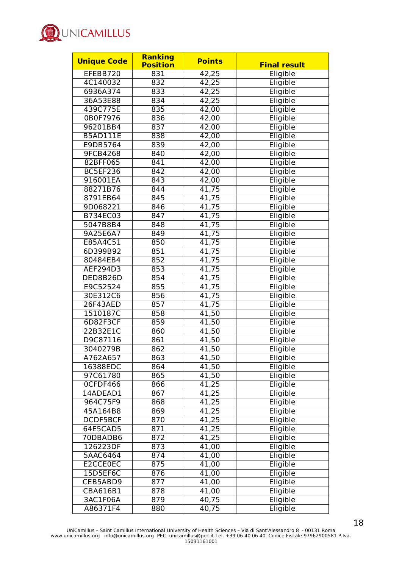

| <b>Unique Code</b> | <b>Ranking</b><br><b>Position</b> | <b>Points</b>      | <b>Final result</b> |
|--------------------|-----------------------------------|--------------------|---------------------|
| EFEBB720           | 831                               | 42,25              | Eligible            |
| 4C140032           | 832                               | 42,25              | Eligible            |
| 6936A374           | 833                               | 42,25              | Eligible            |
| 36A53E88           | 834                               |                    | Eligible            |
|                    |                                   | 42,25              |                     |
| 439C775E           | 835                               | 42,00              | Eligible            |
| 0B0F7976           | 836                               | 42,00              | Eligible            |
| 96201BB4           | 837                               | $\overline{42,00}$ | Eligible            |
| B5AD111E           | 838                               | 42,00              | Eligible            |
| E9DB5764           | 839                               | 42,00              | Eligible            |
| 9FCB4268           | 840                               | 42,00              | Eligible            |
| 82BFF065           | 841                               | 42,00              | Eligible            |
| BC5EF236           | 842                               | 42,00              | Eligible            |
| 916001EA           | 843                               | 42,00              | Eligible            |
| 88271B76           | 844                               | 41,75              | Eligible            |
| 8791EB64           | 845                               | 41,75              | Eligible            |
| 9D068221           | 846                               | 41,75              | Eligible            |
| B734EC03           | 847                               | 41,75              | Eligible            |
| 5047B8B4           | 848                               | 41,75              | Eligible            |
| 9A25E6A7           | 849                               | 41,75              | Eligible            |
| E85A4C51           | 850                               | 41,75              | Eligible            |
| 6D399B92           | 851                               | 41,75              | Eligible            |
| 80484EB4           | 852                               | 41,75              | Eligible            |
| AEF294D3           | 853                               | 41,75              | Eligible            |
| DED8B26D           | 854                               | 41,75              | Eligible            |
| E9C52524           | 855                               | 41,75              | Eligible            |
| 30E312C6           | 856                               | 41,75              | Eligible            |
| 26F43AED           | 857                               | 41,75              | Eligible            |
| 1510187C           | 858                               | 41,50              | Eligible            |
| 6D82F3CF           | 859                               | 41,50              | Eligible            |
| 22B32E1C           | 860                               | 41,50              | Eligible            |
| D9C87116           | 861                               | 41,50              | Eligible            |
| 3040279B           | 862                               | 41,50              | Eligible            |
| A762A657           | 863                               | 41,50              | Eligible            |
| 16388EDC           | 864                               | 41,50              | Eligible            |
| 97C61780           | 865                               | 41,50              | Eligible            |
| OCFDF466           | 866                               | 41,25              | Eligible            |
| 14ADEAD1           | 867                               | 41,25              | Eligible            |
| 964C75F9           | 868                               | 41,25              | Eligible            |
| 45A164B8           | 869                               | 41,25              | Eligible            |
| DCDF5BCF           | 870                               | 41,25              | Eligible            |
| 64E5CAD5           | 871                               | 41,25              | Eligible            |
| 70DBADB6           | 872                               | 41,25              | Eligible            |
| 126223DF           | 873                               | 41,00              | Eligible            |
| 5AAC6464           | 874                               | 41,00              | Eligible            |
| E2CCE0EC           | 875                               | 41,00              | Eligible            |
| 15D5EF6C           | 876                               | 41,00              | Eligible            |
| CEB5ABD9           | 877                               | 41,00              | Eligible            |
| CBA616B1           | 878                               | 41,00              | Eligible            |
| 3AC1F06A           | 879                               | 40,75              | Eligible            |
|                    | 880                               | 40,75              |                     |
| A86371F4           |                                   |                    | Eligible            |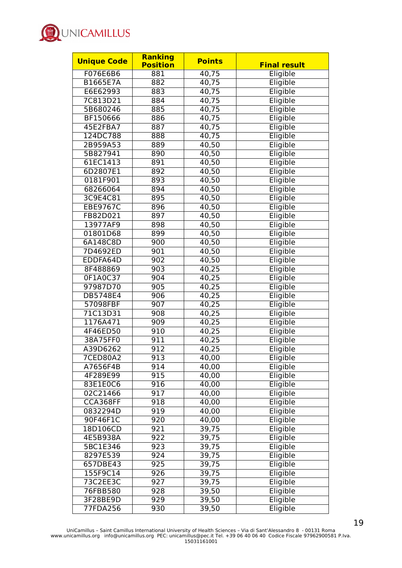

| <b>Unique Code</b> | <b>Ranking</b>  | <b>Points</b> | <b>Final result</b> |
|--------------------|-----------------|---------------|---------------------|
|                    | <b>Position</b> |               |                     |
| F076E6B6           | 881             | 40,75         | Eligible            |
| B1665E7A           | 882             | 40,75         | Eligible            |
| E6E62993           | 883             | 40,75         | Eligible            |
| 7C813D21           | 884             | 40,75         | Eligible            |
| 5B680246           | 885             | 40,75         | Eligible            |
| BF150666           | 886             | 40,75         | Eligible            |
| 45E2FBA7           | 887             | 40,75         | Eligible            |
| 124DC788           | 888             | 40,75         | Eligible            |
| 2B959A53           | 889             | 40,50         | Eligible            |
| 5B827941           | 890             | 40,50         | Eligible            |
| 61EC1413           | 891             | 40,50         | Eligible            |
| 6D2807E1           | 892             | 40,50         | Eligible            |
| 0181F901           | 893             | 40,50         | Eligible            |
| 68266064           | 894             | 40,50         | Eligible            |
| 3C9E4C81           | 895             | 40,50         | Eligible            |
| <b>EBE9767C</b>    | 896             | 40,50         | Eligible            |
| FB82D021           | 897             | 40,50         | Eligible            |
| 13977AF9           | 898             | 40,50         | Eligible            |
| 01801D68           | 899             | 40,50         | Eligible            |
| 6A148C8D           | 900             | 40,50         | Eligible            |
| 7D4692ED           | 901             | 40,50         | Eligible            |
| EDDFA64D           | 902             | 40,50         | Eligible            |
| 8F488869           | 903             | 40,25         | Eligible            |
| 0F1A0C37           | 904             | 40,25         | Eligible            |
| 97987D70           | 905             | 40,25         | Eligible            |
| DB5748E4           | 906             | 40,25         | Eligible            |
| 57098FBF           | 907             | 40,25         | Eligible            |
| 71C13D31           | 908             | 40,25         | Eligible            |
| 1176A471           | 909             | 40,25         | Eligible            |
| 4F46ED50           | 910             | 40,25         | Eligible            |
| 38A75FF0           | 911             | 40,25         | Eligible            |
| A39D6262           | 912             | 40,25         | Eligible            |
| 7CED80A2           | 913             | 40,00         | Eligible            |
| A7656F4B           | 914             | 40,00         |                     |
| 4F289E99           |                 |               | Eligible            |
|                    | 915             | 40,00         | Eligible            |
| 83E1E0C6           | 916             | 40,00         | Eligible            |
| 02C21466           | 917             | 40,00         | Eligible            |
| CCA368FF           | 918             | 40,00         | Eligible            |
| 0832294D           | 919             | 40,00         | Eligible            |
| 90F46F1C           | 920             | 40,00         | Eligible            |
| 18D106CD           | 921             | 39,75         | Eligible            |
| 4E5B938A           | 922             | 39,75         | Eligible            |
| 5BC1E346           | 923             | 39,75         | Eligible            |
| 8297E539           | 924             | 39,75         | Eligible            |
| 657DBE43           | 925             | 39,75         | Eligible            |
| 155F9C14           | 926             | 39,75         | Eligible            |
| 73C2EE3C           | 927             | 39,75         | Eligible            |
| 76FBB580           | 928             | 39,50         | Eligible            |
| 3F28BE9D           | 929             | 39,50         | Eligible            |
| 77FDA256           | 930             | 39,50         | Eligible            |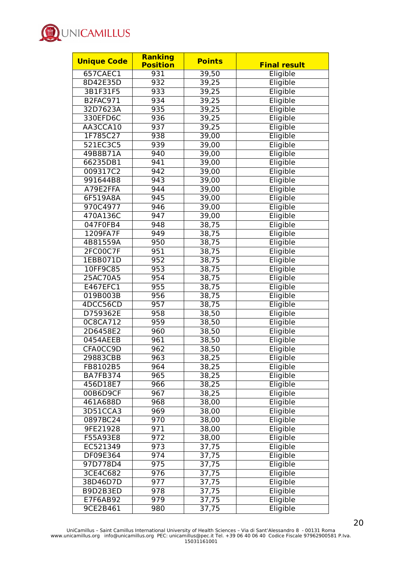

| <b>Unique Code</b> | <b>Ranking</b><br><b>Position</b> | <b>Points</b> | <b>Final result</b> |
|--------------------|-----------------------------------|---------------|---------------------|
| 657CAEC1           | 931                               | 39,50         | Eligible            |
| 8D42E35D           | 932                               | 39,25         | Eligible            |
| 3B1F31F5           | 933                               | 39,25         | Eligible            |
| B2FAC971           | 934                               | 39,25         | Eligible            |
| 32D7623A           | 935                               | 39,25         | Eligible            |
| 330EFD6C           | 936                               | 39,25         | Eligible            |
| AA3CCA10           | 937                               | 39,25         | Eligible            |
| 1F785C27           | 938                               |               | Eligible            |
|                    |                                   | 39,00         |                     |
| 521EC3C5           | 939                               | 39,00         | Eligible            |
| 49B8B71A           | 940                               | 39,00         | Eligible            |
| 66235DB1           | 941                               | 39,00         | Eligible            |
| 009317C2           | 942                               | 39,00         | Eligible            |
| 991644B8           | 943                               | 39,00         | Eligible            |
| A79E2FFA           | 944                               | 39,00         | Eligible            |
| 6F519A8A           | 945                               | 39,00         | Eligible            |
| 970C4977           | 946                               | 39,00         | Eligible            |
| 470A136C           | 947                               | 39,00         | Eligible            |
| 047F0FB4           | 948                               | 38,75         | Eligible            |
| 1209FA7F           | 949                               | 38,75         | Eligible            |
| 4B81559A           | 950                               | 38,75         | Eligible            |
| 2FC00C7F           | 951                               | 38,75         | Eligible            |
| 1EBB071D           | 952                               | 38,75         | Eligible            |
| 10FF9C85           | 953                               | 38,75         | Eligible            |
| 25AC70A5           | 954                               | 38,75         | Eligible            |
| E467EFC1           | 955                               | 38,75         | Eligible            |
| 019B003B           | 956                               | 38,75         | Eligible            |
| 4DCC56CD           | 957                               | 38,75         | Eligible            |
| D759362E           | 958                               | 38,50         | Eligible            |
| 0C8CA712           | 959                               | 38,50         | Eligible            |
| 2D6458E2           | 960                               | 38,50         | Eligible            |
| 0454AEEB           | 961                               | 38,50         | Eligible            |
| CFA0CC9D           | 962                               | 38,50         | Eligible            |
| 29883CBB           | 963                               | 38,25         | Eligible            |
| FB8102B5           | 964                               | 38,25         | Eligible            |
| <b>BA7FB374</b>    | 965                               | 38,25         | Eligible            |
| 456D18E7           | 966                               | 38,25         | Eligible            |
| 00B6D9CF           | 967                               | 38,25         | Eligible            |
| 461A688D           | 968                               | 38,00         | Eligible            |
| 3D51CCA3           | 969                               | 38,00         | Eligible            |
| 0897BC24           | 970                               | 38,00         | Eligible            |
| 9FE21928           | 971                               | 38,00         | Eligible            |
| F55A93E8           | 972                               | 38,00         | Eligible            |
| EC521349           | 973                               | 37,75         | Eligible            |
| DF09E364           | 974                               | 37,75         | Eligible            |
| 97D778D4           | 975                               | 37,75         | Eligible            |
| 3CE4C682           | 976                               |               | Eligible            |
|                    |                                   | 37,75         | Eligible            |
| 38D46D7D           | 977                               | 37,75         |                     |
| B9D2B3ED           | 978                               | 37,75         | Eligible            |
| E7F6AB92           | 979                               | 37,75         | Eligible            |
| 9CE2B461           | 980                               | 37,75         | Eligible            |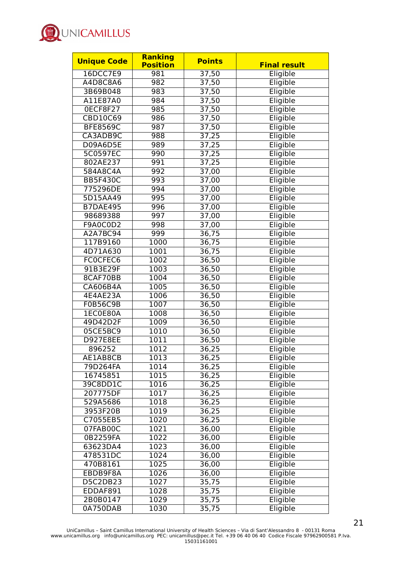

| <b>Unique Code</b> | Ranking         | <b>Points</b> |                     |
|--------------------|-----------------|---------------|---------------------|
|                    | <b>Position</b> |               | <b>Final result</b> |
| 16DCC7E9           | 981             | 37,50         | Eligible            |
| A4D8C8A6           | 982             | 37,50         | Eligible            |
| 3B69B048           | 983             | 37,50         | Eligible            |
| A11E87A0           | 984             | 37,50         | Eligible            |
| OECF8F27           | 985             | 37,50         | Eligible            |
| <b>CBD10C69</b>    | 986             | 37,50         | Eligible            |
| <b>BFE8569C</b>    | 987             | 37,50         | Eligible            |
| CA3ADB9C           | 988             | 37,25         | Eligible            |
| D09A6D5E           | 989             | 37,25         | Eligible            |
| 5C0597EC           | 990             | 37,25         | Eligible            |
| 802AE237           | 991             | 37,25         | Eligible            |
| 584A8C4A           | 992             | 37,00         | Eligible            |
| <b>BB5F430C</b>    | 993             | 37,00         | Eligible            |
| 775296DE           | 994             | 37,00         | Eligible            |
| 5D15AA49           | 995             | 37,00         | Eligible            |
| <b>B7DAE495</b>    | 996             | 37,00         | Eligible            |
| 98689388           | 997             | 37,00         | Eligible            |
| F9A0C0D2           | 998             | 37,00         | Eligible            |
| A2A7BC94           | 999             | 36,75         | Eligible            |
| 117B9160           | 1000            | 36,75         | Eligible            |
| 4D71A630           | 1001            | 36,75         | Eligible            |
| FC0CFEC6           | 1002            | 36,50         | Eligible            |
| 91B3E29F           | 1003            | 36,50         | Eligible            |
| 8CAF70BB           | 1004            | 36,50         | Eligible            |
| CA606B4A           | 1005            | 36,50         | Eligible            |
| 4E4AE23A           | 1006            | 36,50         | Eligible            |
| <b>F0B56C9B</b>    | 1007            | 36,50         | Eligible            |
| 1EC0E80A           | 1008            | 36,50         | Eligible            |
| 49D42D2F           | 1009            | 36,50         | Eligible            |
| 05CE5BC9           | 1010            | 36,50         | Eligible            |
| D927E8EE           | 1011            | 36,50         | Eligible            |
| 896252             | 1012            | 36,25         | Eligible            |
| AE1AB8CB           | 1013            | 36,25         | Eligible            |
| 79D264FA           | 1014            | 36,25         | Eligible            |
| 16745851           | 1015            | 36,25         | Eligible            |
| 39C8DD1C           | 1016            | 36,25         | Eligible            |
| 207775DF           | 1017            | 36,25         | Eligible            |
| 529A5686           | 1018            | 36,25         | Eligible            |
| 3953F20B           | 1019            | 36,25         | Eligible            |
| C7055EB5           | 1020            | 36,25         | Eligible            |
| 07FAB00C           | 1021            | 36,00         | Eligible            |
| 0B2259FA           | 1022            | 36,00         | Eligible            |
| 63623DA4           | 1023            | 36,00         | Eligible            |
| 478531DC           | 1024            | 36,00         | Eligible            |
| 470B8161           | 1025            | 36,00         | Eligible            |
| EBDB9F8A           | 1026            | 36,00         | Eligible            |
| D5C2DB23           | 1027            | 35,75         | Eligible            |
| EDDAF891           | 1028            | 35,75         | Eligible            |
| 2B0B0147           | 1029            | 35,75         | Eligible            |
| 0A750DAB           | 1030            | 35,75         | Eligible            |
|                    |                 |               |                     |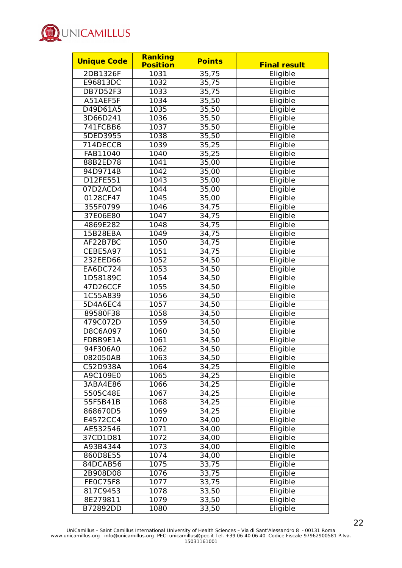

| <b>Unique Code</b> | Ranking         | <b>Points</b> |                     |
|--------------------|-----------------|---------------|---------------------|
|                    | <b>Position</b> |               | <b>Final result</b> |
| 2DB1326F           | 1031            | 35,75         | Eligible            |
| E96813DC           | 1032            | 35,75         | Eligible            |
| <b>DB7D52F3</b>    | 1033            | 35,75         | Eligible            |
| A51AEF5F           | 1034            | 35,50         | Eligible            |
| D49D61A5           | 1035            | 35,50         | Eligible            |
| 3D66D241           | 1036            | 35,50         | Eligible            |
| 741FCBB6           | 1037            | 35,50         | Eligible            |
| 5DED3955           | 1038            | 35,50         | Eligible            |
| 714DECCB           | 1039            | 35,25         | Eligible            |
| FAB11040           | 1040            | 35,25         | Eligible            |
| 88B2ED78           | 1041            | 35,00         | Eligible            |
| 94D9714B           | 1042            | 35,00         | Eligible            |
| D12FE551           | 1043            | 35,00         | Eligible            |
| 07D2ACD4           | 1044            | 35,00         | Eligible            |
| 0128CF47           | 1045            | 35,00         | Eligible            |
| 355F0799           | 1046            | 34,75         | Eligible            |
| 37E06E80           | 1047            | 34,75         | Eligible            |
| 4869E282           | 1048            | 34,75         | Eligible            |
| 15B28EBA           | 1049            | 34,75         | Eligible            |
| AF22B7BC           | 1050            | 34,75         | Eligible            |
| CEBE5A97           | 1051            | 34,75         | Eligible            |
| 232EED66           | 1052            | 34,50         | Eligible            |
| <b>EA6DC724</b>    | 1053            | 34,50         | Eligible            |
| 1D58189C           | 1054            | 34,50         | Eligible            |
| 47D26CCF           | 1055            | 34,50         | Eligible            |
| 1C55A839           | 1056            | 34,50         | Eligible            |
| 5D4A6EC4           | 1057            | 34,50         | Eligible            |
| 89580F38           | 1058            | 34,50         | Eligible            |
| 479C072D           | 1059            | 34,50         | Eligible            |
| D8C6A097           | 1060            | 34,50         | Eligible            |
| FDBB9E1A           | 1061            | 34,50         | Eligible            |
| 94F306A0           | 1062            | 34,50         | Eligible            |
| 082050AB           | 1063            | 34,50         | Eligible            |
| C52D938A           | 1064            | 34,25         | Eligible            |
| A9C109E0           | 1065            | 34,25         | Eligible            |
| 3ABA4E86           | 1066            | 34,25         | Eligible            |
| 5505C48E           | 1067            | 34,25         | Eligible            |
| 55F5B41B           | 1068            | 34,25         | Eligible            |
| 868670D5           | 1069            | 34,25         | Eligible            |
| E4572CC4           | 1070            | 34,00         | Eligible            |
| AE532546           | 1071            | 34,00         | Eligible            |
| 37CD1D81           | 1072            | 34,00         | Eligible            |
| A93B4344           | 1073            | 34,00         | Eligible            |
| 860D8E55           | 1074            | 34,00         | Eligible            |
| 84DCAB56           | 1075            | 33,75         | Eligible            |
| 2B908D08           | 1076            | 33,75         | Eligible            |
| <b>FE0C75F8</b>    | 1077            | 33,75         | Eligible            |
| 817C9453           | 1078            | 33,50         | Eligible            |
| 8E279811           | 1079            | 33,50         | Eligible            |
| B72892DD           | 1080            | 33,50         | Eligible            |
|                    |                 |               |                     |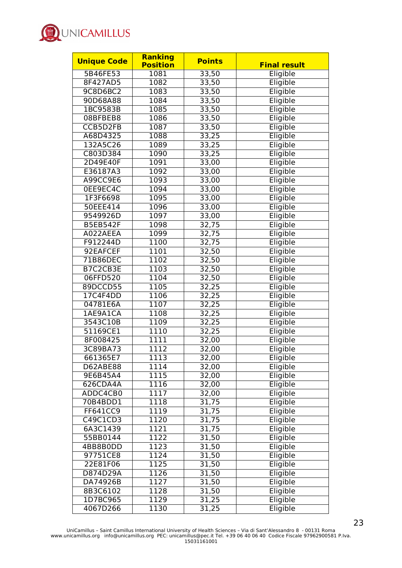

| <b>Unique Code</b> | <b>Ranking</b><br><b>Position</b> | <b>Points</b> | <b>Final result</b> |
|--------------------|-----------------------------------|---------------|---------------------|
| 5B46FE53           | 1081                              | 33,50         | Eligible            |
| 8F427AD5           | 1082                              | 33,50         | Eligible            |
| 9C8D6BC2           | 1083                              | 33,50         | Eligible            |
| 90D68A88           | 1084                              | 33,50         | Eligible            |
| 1BC9583B           | 1085                              | 33,50         | Eligible            |
| 08BFBEB8           | 1086                              | 33,50         | Eligible            |
| CCB5D2FB           | 1087                              | 33,50         | Eligible            |
| A68D4325           | 1088                              | 33,25         | Eligible            |
| 132A5C26           | 1089                              | 33,25         | Eligible            |
| C803D384           | 1090                              |               | Eligible            |
| 2D49E40F           | 1091                              | 33,25         | Eligible            |
|                    |                                   | 33,00         | Eligible            |
| E36187A3           | 1092                              | 33,00         |                     |
| A99CC9E6           | 1093                              | 33,00         | Eligible            |
| 0EE9EC4C           | 1094                              | 33,00         | Eligible            |
| 1F3F6698           | 1095                              | 33,00         | Eligible            |
| 50EEE414           | 1096                              | 33,00         | Eligible            |
| 9549926D           | 1097                              | 33,00         | Eligible            |
| <b>B5EB542F</b>    | 1098                              | 32,75         | Eligible            |
| A022AEEA           | 1099                              | 32,75         | Eligible            |
| F912244D           | 1100                              | 32,75         | Eligible            |
| 92EAFCEF           | 1101                              | 32,50         | Eligible            |
| 71B86DEC           | 1102                              | 32,50         | Eligible            |
| B7C2CB3E           | 1103                              | 32,50         | Eligible            |
| 06FFD520           | 1104                              | 32,50         | Eligible            |
| 89DCCD55           | 1105                              | 32,25         | Eligible            |
| 17C4F4DD           | 1106                              | 32,25         | Eligible            |
| 04781E6A           | 1107                              | 32,25         | Eligible            |
| 1AE9A1CA           | 1108                              | 32,25         | Eligible            |
| 3543C10B           | 1109                              | 32,25         | Eligible            |
| 51169CE1           | 1110                              | 32,25         | Eligible            |
| 8F008425           | 1111                              | 32,00         | Eligible            |
| 3C89BA73           | 1112                              | 32,00         | Eligible            |
| 661365E7           | 1113                              | 32,00         | Eligible            |
| D62ABE88           | 1114                              | 32,00         | Eligible            |
| 9E6B45A4           | 1115                              | 32,00         | Eligible            |
| 626CDA4A           | 1116                              | 32,00         | Eligible            |
| ADDC4CB0           | 1117                              | 32,00         | Eligible            |
| 70B4BDD1           | 1118                              | 31,75         | Eligible            |
| FF641CC9           | 1119                              | 31,75         | Eligible            |
| C49C1CD3           | 1120                              | 31,75         | Eligible            |
| 6A3C1439           | 1121                              | 31,75         | Eligible            |
| 55BB0144           | 1122                              | 31,50         | Eligible            |
| 4BB8B0DD           | 1123                              | 31,50         | Eligible            |
| 97751CE8           | 1124                              | 31,50         | Eligible            |
| 22E81F06           | 1125                              | 31,50         | Eligible            |
| D874D29A           | 1126                              | 31,50         | Eligible            |
| DA74926B           | 1127                              | 31,50         | Eligible            |
| 8B3C6102           | 1128                              | 31,50         | Eligible            |
| 1D7BC965           | 1129                              | 31,25         | Eligible            |
| 4067D266           | 1130                              | 31,25         | Eligible            |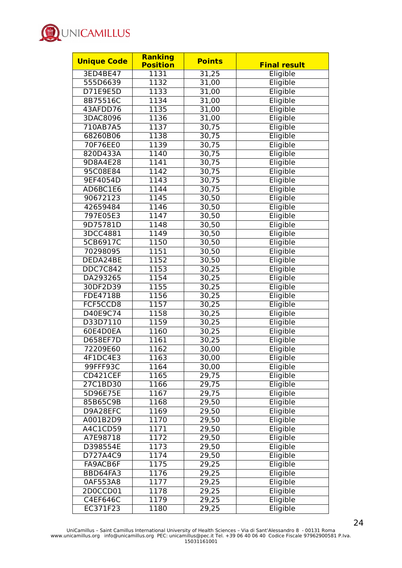

| <b>Unique Code</b> | <b>Ranking</b>  | <b>Points</b> |                     |
|--------------------|-----------------|---------------|---------------------|
|                    | <b>Position</b> |               | <b>Final result</b> |
| 3ED4BE47           | 1131            | 31,25         | Eligible            |
| 555D6639           | 1132            | 31,00         | Eligible            |
| D71E9E5D           | 1133            | 31,00         | Eligible            |
| 8B75516C           | 1134            | 31,00         | Eligible            |
| 43AFDD76           | 1135            | 31,00         | Eligible            |
| 3DAC8096           | 1136            | 31,00         | Eligible            |
| 710AB7A5           | 1137            | 30,75         | Eligible            |
| 68260B06           | 1138            | 30,75         | Eligible            |
| 70F76EE0           | 1139            | 30,75         | Eligible            |
| 820D433A           | 1140            | 30,75         | Eligible            |
| 9D8A4E28           | 1141            | 30,75         | Eligible            |
| 95C08E84           | 1142            | 30,75         | Eligible            |
| 9EF4054D           | 1143            | 30,75         | Eligible            |
| AD6BC1E6           | 1144            | 30,75         | Eligible            |
| 90672123           | 1145            | 30,50         | Eligible            |
| 42659484           | 1146            | 30,50         | Eligible            |
| 797E05E3           | 1147            | 30,50         | Eligible            |
| 9D75781D           | 1148            | 30,50         | Eligible            |
| 3DCC4881           | 1149            | 30,50         | Eligible            |
| 5CB6917C           | 1150            | 30,50         | Eligible            |
| 70298095           | 1151            | 30,50         | Eligible            |
| DEDA24BE           | 1152            | 30,50         | Eligible            |
| <b>DDC7C842</b>    | 1153            | 30,25         | Eligible            |
| DA293265           | 1154            | 30,25         | Eligible            |
| 30DF2D39           | 1155            | 30,25         | Eligible            |
| <b>FDE4718B</b>    | 1156            | 30,25         | Eligible            |
| FCF5CCD8           | 1157            | 30,25         | Eligible            |
| D40E9C74           | 1158            | 30,25         | Eligible            |
| D33D7110           | 1159            | 30,25         | Eligible            |
| 60E4D0EA           | 1160            | 30,25         | Eligible            |
| D658EF7D           | 1161            | 30,25         | Eligible            |
| 72209E60           | 1162            | 30,00         | Eligible            |
| 4F1DC4E3           | 1163            | 30,00         | Eligible            |
| 99FFF93C           | 1164            | 30,00         | Eligible            |
| CD421CEF           | 1165            | 29,75         | Eligible            |
| 27C1BD30           | 1166            | 29,75         | Eligible            |
| 5D96E75E           | 1167            | 29,75         | Eligible            |
| 85B65C9B           | 1168            | 29,50         | Eligible            |
| D9A28EFC           | 1169            | 29,50         | Eligible            |
| A001B2D9           | 1170            | 29,50         | Eligible            |
| A4C1CD59           | 1171            | 29,50         | Eligible            |
| A7E98718           | 1172            | 29,50         | Eligible            |
| D398554E           | 1173            | 29,50         | Eligible            |
| D727A4C9           | 1174            | 29,50         | Eligible            |
| FA9ACB6F           | 1175            | 29,25         | Eligible            |
| BBD64FA3           | 1176            | 29,25         | Eligible            |
| 0AF553A8           | 1177            | 29,25         | Eligible            |
| 2D0CCD01           | 1178            | 29,25         | Eligible            |
| C4EF646C           | 1179            | 29,25         | Eligible            |
| EC371F23           | 1180            | 29,25         | Eligible            |
|                    |                 |               |                     |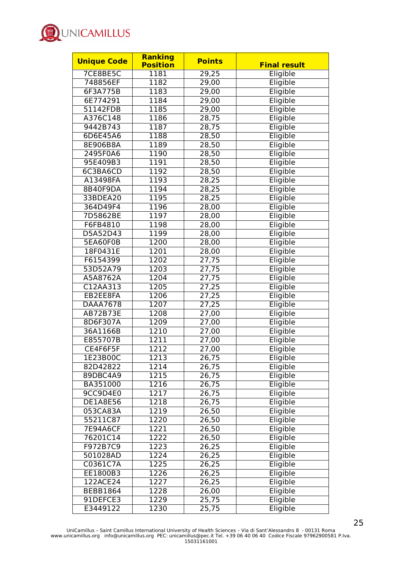

| <b>Unique Code</b> | <b>Ranking</b>    | <b>Points</b> |                     |
|--------------------|-------------------|---------------|---------------------|
|                    | <b>Position</b>   |               | <b>Final result</b> |
| 7CE8BE5C           | 1181              | 29,25         | Eligible            |
| 748856EF           | 1182              | 29,00         | Eligible            |
| 6F3A775B           | 1183              | 29,00         | Eligible            |
| 6E774291           | 1184              | 29,00         | Eligible            |
| 51142FDB           | 1185              | 29,00         | Eligible            |
| A376C148           | 1186              | 28,75         | Eligible            |
| 9442B743           | 1187              | 28,75         | Eligible            |
| 6D6E45A6           | 1188              | 28,50         | Eligible            |
| 8E906B8A           | 1189              | 28,50         | Eligible            |
| 2495F0A6           | 1190              | 28,50         | Eligible            |
| 95E409B3           | 1191              | 28,50         | Eligible            |
| 6C3BA6CD           | 1192              | 28,50         | Eligible            |
| A13498FA           | 1193              | 28,25         | Eligible            |
| 8B40F9DA           | 1194              | 28,25         | Eligible            |
| 33BDEA20           | 1195              | 28,25         | Eligible            |
| 364D49F4           | 1196              | 28,00         | Eligible            |
| 7D5862BE           | 1197              | 28,00         | Eligible            |
| F6FB4810           | 1198              | 28,00         | Eligible            |
| D5A52D43           | 1199              | 28,00         | Eligible            |
| 5EA60F0B           | 1200              | 28,00         | Eligible            |
| 18F0431E           | 1201              | 28,00         | Eligible            |
| F6154399           | 1202              | 27,75         | Eligible            |
| 53D52A79           | 1203              | 27,75         | Eligible            |
| A5A8762A           | 1204              | 27,75         | Eligible            |
| C12AA313           | 1205              | 27,25         | Eligible            |
| EB2EE8FA           | 1206              | 27,25         | Eligible            |
| <b>DAAA7678</b>    | 1207              | 27,25         | Eligible            |
| AB72B73E           | 1208              | 27,00         | Eligible            |
| 8D6F307A           | 1209              | 27,00         | Eligible            |
| 36A1166B           | 1210              | 27,00         | Eligible            |
| E855707B           | 1211              | 27,00         | Eligible            |
| CE4F6F5F           | 1212              | 27,00         | Eligible            |
| 1E23B00C           | 1213              | 26,75         | Eligible            |
| 82D42822           | 1214              | 26,75         | Eligible            |
| 89DBC4A9           | $12\overline{15}$ | 26,75         | Eligible            |
| BA351000           | $12\overline{16}$ | 26,75         | Eligible            |
| 9CC9D4E0           | 1217              | 26,75         | Eligible            |
| DE1A8E56           | 1218              | 26,75         | Eligible            |
| 053CA83A           | 1219              | 26,50         | Eligible            |
| 55211C87           | 1220              | 26,50         | Eligible            |
| 7E94A6CF           | 1221              | 26,50         | Eligible            |
| 76201C14           | 1222              | 26,50         | Eligible            |
| F972B7C9           | 1223              | 26,25         | Eligible            |
| 501028AD           | 1224              | 26,25         | Eligible            |
| C0361C7A           | 1225              | 26,25         | Eligible            |
| EE1800B3           | 1226              | 26,25         | Eligible            |
| 122ACE24           | 1227              | 26,25         | Eligible            |
| <b>BEBB1864</b>    | 1228              | 26,00         | Eligible            |
| 91DEFCE3           | 1229              | 25,75         | Eligible            |
| E3449122           | 1230              | 25,75         | Eligible            |
|                    |                   |               |                     |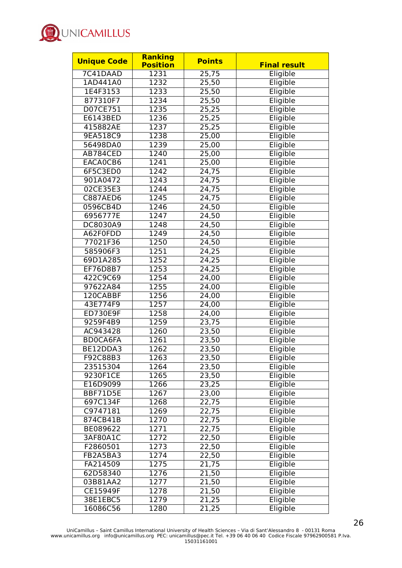

| <b>Unique Code</b>   | <b>Ranking</b><br><b>Position</b> | <b>Points</b>      | <b>Final result</b> |
|----------------------|-----------------------------------|--------------------|---------------------|
| 7C41DAAD             | 1231                              | 25,75              | Eligible            |
| 1AD441A0             | 1232                              | 25,50              | Eligible            |
| 1E4F3153             | 1233                              | 25,50              | Eligible            |
| 877310F7             | 1234                              | 25,50              | Eligible            |
| D07CE751             | 1235                              | 25,25              | Eligible            |
| E6143BED             | 1236                              | 25,25              | Eligible            |
| 415882AE             | 1237                              | 25,25              | Eligible            |
| 9EA518C9             | 1238                              | 25,00              | Eligible            |
| 56498DA0             | 1239                              | 25,00              | Eligible            |
| AB784CED             | 1240                              | 25,00              | Eligible            |
| EACA0CB6             | 1241                              | 25,00              | Eligible            |
| 6F5C3ED0             | 1242                              | 24,75              | Eligible            |
| 901A0472             | 1243                              | 24,75              | Eligible            |
| 02CE35E3             | 1244                              | $\overline{24,75}$ | Eligible            |
| C887AED6             | 1245                              | 24,75              | Eligible            |
| 0596CB4D             | 1246                              | 24,50              | Eligible            |
| 6956777E             | 1247                              | 24,50              | Eligible            |
| DC8030A9             | 1248                              | 24,50              | Eligible            |
| A62F0FDD             | 1249                              | 24,50              | Eligible            |
| 77021F36             | 1250                              | 24,50              | Eligible            |
| 585906F3             | 1251                              | 24,25              | Eligible            |
| 69D1A285             | 1252                              | 24,25              | Eligible            |
| EF76D8B7             | 1253                              | $\overline{24,25}$ | Eligible            |
| 422C9C69             | 1254                              | 24,00              | Eligible            |
| 97622A84             | 1255                              | 24,00              | Eligible            |
| 120CABBF             | 1256                              |                    | Eligible            |
| 43E774F9             | 1257                              | 24,00<br>24,00     | Eligible            |
| <b>ED730E9F</b>      | 1258                              | 24,00              | Eligible            |
| 9259F4B9             | 1259                              | 23,75              | Eligible            |
| AC943428             | 1260                              |                    | Eligible            |
| <b>BDOCA6FA</b>      | 1261                              | 23,50              |                     |
| BE12DDA3             | 1262                              | 23,50<br>23,50     | Eligible            |
|                      |                                   |                    | Eligible            |
| F92C88B3             | 1263                              | 23,50              | Eligible            |
| 23515304<br>9230F1CE | 1264                              | 23,50              | Eligible            |
|                      | 1265                              | 23,50              | Eligible            |
| E16D9099             | 1266                              | 23,25              | Eligible            |
| BBF71D5E             | 1267                              | 23,00              | Eligible            |
| 697C134F             | 1268                              | 22,75              | Eligible            |
| C9747181             | 1269                              | 22,75              | Eligible            |
| 874CB41B             | 1270                              | 22,75              | Eligible            |
| BE089622             | 1271                              | 22,75              | Eligible            |
| 3AF80A1C             | 1272                              | 22,50              | Eligible            |
| F2860501             | 1273                              | 22,50              | Eligible            |
| FB2A5BA3             | 1274                              | 22,50              | Eligible            |
| FA214509             | 1275                              | 21,75              | Eligible            |
| 62D58340             | 1276                              | 21,50              | Eligible            |
| 03B81AA2             | 1277                              | 21,50              | Eligible            |
| CE15949F             | 1278                              | 21,50              | Eligible            |
| 38E1EBC5             | 1279                              | 21,25              | Eligible            |
| 16086C56             | 1280                              | 21,25              | Eligible            |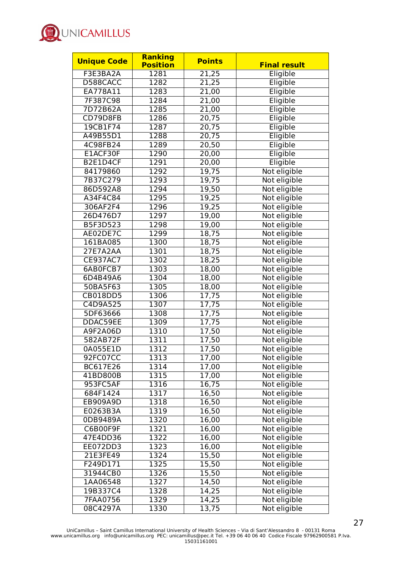

| <b>Unique Code</b> | Ranking         | <b>Points</b> |                     |
|--------------------|-----------------|---------------|---------------------|
|                    | <b>Position</b> |               | <b>Final result</b> |
| F3E3BA2A           | 1281            | 21,25         | Eligible            |
| D588CACC           | 1282            | 21,25         | Eligible            |
| EA778A11           | 1283            | 21,00         | Eligible            |
| 7F387C98           | 1284            | 21,00         | Eligible            |
| 7D72B62A           | 1285            | 21,00         | Eligible            |
| CD79D8FB           | 1286            | 20,75         | Eligible            |
| 19CB1F74           | 1287            | 20,75         | Eligible            |
| A49B55D1           | 1288            | 20,75         | Eligible            |
| 4C98FB24           | 1289            | 20,50         | Eligible            |
| E1ACF30F           | 1290            | 20,00         | Eligible            |
| B2E1D4CF           | 1291            | 20,00         | Eligible            |
| 84179860           | 1292            | 19,75         | Not eligible        |
| 7B37C279           | 1293            | 19,75         | Not eligible        |
| 86D592A8           | 1294            | 19,50         | Not eligible        |
| A34F4C84           | 1295            | 19,25         | Not eligible        |
| 306AF2F4           | 1296            | 19,25         | Not eligible        |
| 26D476D7           | 1297            | 19,00         | Not eligible        |
| B5F3D523           | 1298            | 19,00         | Not eligible        |
| AE02DE7C           | 1299            | 18,75         | Not eligible        |
| 161BA085           | 1300            | 18,75         | Not eligible        |
| 27E7A2AA           | 1301            | 18,75         | Not eligible        |
| <b>CE937AC7</b>    | 1302            | 18,25         | Not eligible        |
| 6AB0FCB7           | 1303            | 18,00         | Not eligible        |
| 6D4B49A6           | 1304            | 18,00         | Not eligible        |
| 50BA5F63           | 1305            | 18,00         | Not eligible        |
| <b>CB018DD5</b>    | 1306            | 17,75         | Not eligible        |
| C4D9A525           | 1307            | 17,75         | Not eligible        |
| 5DF63666           | 1308            | 17,75         | Not eligible        |
| DDAC59EE           | 1309            | 17,75         | Not eligible        |
| A9F2A06D           | 1310            | 17,50         | Not eligible        |
| 582AB72F           | 1311            | 17,50         | Not eligible        |
| 0A055E1D           | 1312            | 17,50         | Not eligible        |
| 92FC07CC           | 1313            | 17,00         | Not eligible        |
| BC617E26           | 1314            | 17,00         | Not eligible        |
| 41BD800B           | 1315            | 17,00         | Not eligible        |
| 953FC5AF           | 1316            | 16,75         | Not eligible        |
| 684F1424           | 1317            | 16,50         | Not eligible        |
| EB909A9D           | 1318            | 16,50         | Not eligible        |
| E0263B3A           | 1319            | 16,50         | Not eligible        |
| 0DB9489A           | 1320            | 16,00         | Not eligible        |
| C6B00F9F           | 1321            | 16,00         | Not eligible        |
| 47E4DD36           | 1322            | 16,00         | Not eligible        |
| EE072DD3           | 1323            | 16,00         | Not eligible        |
| 21E3FE49           | 1324            | 15,50         | Not eligible        |
| F249D171           | 1325            | 15,50         | Not eligible        |
| 31944CB0           | 1326            | 15,50         | Not eligible        |
| 1AA06548           | 1327            | 14,50         | Not eligible        |
| 19B337C4           | 1328            | 14,25         | Not eligible        |
| 7FAA0756           | 1329            | 14,25         | Not eligible        |
| 08C4297A           | 1330            | 13,75         | Not eligible        |